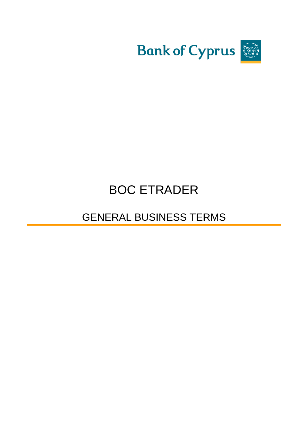

# BOC ETRADER

# GENERAL BUSINESS TERMS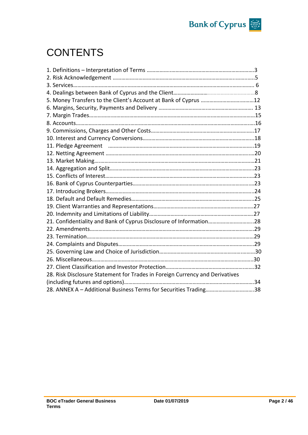

# **CONTENTS**

| 21. Confidentiality and Bank of Cyprus Disclosure of Information28 |
|--------------------------------------------------------------------|
|                                                                    |
|                                                                    |
|                                                                    |
|                                                                    |
|                                                                    |
|                                                                    |
|                                                                    |
|                                                                    |
| 28. ANNEX A - Additional Business Terms for Securities Trading38   |
|                                                                    |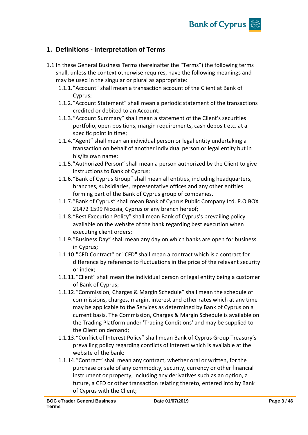

## **1. Definitions - Interpretation of Terms**

- 1.1 In these General Business Terms (hereinafter the "Terms") the following terms shall, unless the context otherwise requires, have the following meanings and may be used in the singular or plural as appropriate:
	- 1.1.1."Account" shall mean a transaction account of the Client at Bank of Cyprus;
	- 1.1.2."Account Statement" shall mean a periodic statement of the transactions credited or debited to an Account;
	- 1.1.3."Account Summary" shall mean a statement of the Client's securities portfolio, open positions, margin requirements, cash deposit etc. at a specific point in time;
	- 1.1.4."Agent" shall mean an individual person or legal entity undertaking a transaction on behalf of another individual person or legal entity but in his/its own name;
	- 1.1.5."Authorized Person" shall mean a person authorized by the Client to give instructions to Bank of Cyprus;
	- 1.1.6."Bank of Cyprus Group" shall mean all entities, including headquarters, branches, subsidiaries, representative offices and any other entities forming part of the Bank of Cyprus group of companies.
	- 1.1.7."Bank of Cyprus" shall mean Bank of Cyprus Public Company Ltd. P.O.BOX 21472 1599 Nicosia, Cyprus or any branch hereof;
	- 1.1.8."Best Execution Policy" shall mean Bank of Cyprus's prevailing policy available on the website of the bank regarding best execution when executing client orders;
	- 1.1.9."Business Day" shall mean any day on which banks are open for business in Cyprus;
	- 1.1.10."CFD Contract" or "CFD" shall mean a contract which is a contract for difference by reference to fluctuations in the price of the relevant security or index;
	- 1.1.11."Client" shall mean the individual person or legal entity being a customer of Bank of Cyprus;
	- 1.1.12."Commission, Charges & Margin Schedule" shall mean the schedule of commissions, charges, margin, interest and other rates which at any time may be applicable to the Services as determined by Bank of Cyprus on a current basis. The Commission, Charges & Margin Schedule is available on the Trading Platform under 'Trading Conditions' and may be supplied to the Client on demand;
	- 1.1.13."Conflict of Interest Policy" shall mean Bank of Cyprus Group Treasury's prevailing policy regarding conflicts of interest which is available at the website of the bank:
	- 1.1.14."Contract" shall mean any contract, whether oral or written, for the purchase or sale of any commodity, security, currency or other financial instrument or property, including any derivatives such as an option, a future, a CFD or other transaction relating thereto, entered into by Bank of Cyprus with the Client;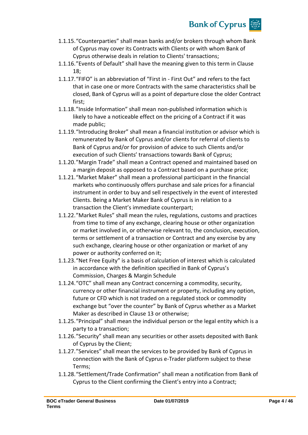

- 1.1.15."Counterparties" shall mean banks and/or brokers through whom Bank of Cyprus may cover its Contracts with Clients or with whom Bank of Cyprus otherwise deals in relation to Clients' transactions;
- 1.1.16."Events of Default" shall have the meaning given to this term in Clause 18;
- 1.1.17."FIFO" is an abbreviation of "First in First Out" and refers to the fact that in case one or more Contracts with the same characteristics shall be closed, Bank of Cyprus will as a point of departure close the older Contract first;
- 1.1.18."Inside Information" shall mean non-published information which is likely to have a noticeable effect on the pricing of a Contract if it was made public;
- 1.1.19."Introducing Broker" shall mean a financial institution or advisor which is remunerated by Bank of Cyprus and/or clients for referral of clients to Bank of Cyprus and/or for provision of advice to such Clients and/or execution of such Clients' transactions towards Bank of Cyprus;
- 1.1.20."Margin Trade" shall mean a Contract opened and maintained based on a margin deposit as opposed to a Contract based on a purchase price;
- 1.1.21."Market Maker" shall mean a professional participant in the financial markets who continuously offers purchase and sale prices for a financial instrument in order to buy and sell respectively in the event of interested Clients. Being a Market Maker Bank of Cyprus is in relation to a transaction the Client's immediate counterpart;
- 1.1.22."Market Rules" shall mean the rules, regulations, customs and practices from time to time of any exchange, clearing house or other organization or market involved in, or otherwise relevant to, the conclusion, execution, terms or settlement of a transaction or Contract and any exercise by any such exchange, clearing house or other organization or market of any power or authority conferred on it;
- 1.1.23."Net Free Equity" is a basis of calculation of interest which is calculated in accordance with the definition specified in Bank of Cyprus's Commission, Charges & Margin Schedule
- 1.1.24."OTC" shall mean any Contract concerning a commodity, security, currency or other financial instrument or property, including any option, future or CFD which is not traded on a regulated stock or commodity exchange but "over the counter" by Bank of Cyprus whether as a Market Maker as described in Clause 13 or otherwise;
- 1.1.25."Principal" shall mean the individual person or the legal entity which is a party to a transaction;
- 1.1.26."Security" shall mean any securities or other assets deposited with Bank of Cyprus by the Client;
- 1.1.27."Services" shall mean the services to be provided by Bank of Cyprus in connection with the Bank of Cyprus e-Trader platform subject to these Terms;
- 1.1.28."Settlement/Trade Confirmation" shall mean a notification from Bank of Cyprus to the Client confirming the Client's entry into a Contract;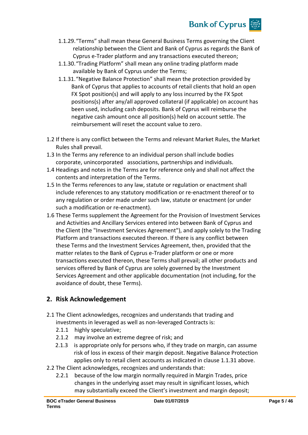# **Bank of Cyprus**

- 1.1.29."Terms" shall mean these General Business Terms governing the Client relationship between the Client and Bank of Cyprus as regards the Bank of Cyprus e-Trader platform and any transactions executed thereon;
- 1.1.30."Trading Platform" shall mean any online trading platform made available by Bank of Cyprus under the Terms;
- 1.1.31."Negative Balance Protection" shall mean the protection provided by Bank of Cyprus that applies to accounts of retail clients that hold an open FX Spot position(s) and will apply to any loss incurred by the FX Spot positions(s) after any/all approved collateral (if applicable) on account has been used, including cash deposits. Bank of Cyprus will reimburse the negative cash amount once all position(s) held on account settle. The reimbursement will reset the account value to zero.
- 1.2 If there is any conflict between the Terms and relevant Market Rules, the Market Rules shall prevail.
- 1.3 In the Terms any reference to an individual person shall include bodies corporate, unincorporated associations, partnerships and individuals.
- 1.4 Headings and notes in the Terms are for reference only and shall not affect the contents and interpretation of the Terms.
- 1.5 In the Terms references to any law, statute or regulation or enactment shall include references to any statutory modification or re-enactment thereof or to any regulation or order made under such law, statute or enactment (or under such a modification or re-enactment).
- 1.6 These Terms supplement the Agreement for the Provision of Investment Services and Activities and Ancillary Services entered into between Bank of Cyprus and the Client (the "Investment Services Agreement"), and apply solely to the Trading Platform and transactions executed thereon. If there is any conflict between these Terms and the Investment Services Agreement, then, provided that the matter relates to the Bank of Cyprus e-Trader platform or one or more transactions executed thereon, these Terms shall prevail; all other products and services offered by Bank of Cyprus are solely governed by the Investment Services Agreement and other applicable documentation (not including, for the avoidance of doubt, these Terms).

## **2. Risk Acknowledgement**

- 2.1 The Client acknowledges, recognizes and understands that trading and investments in leveraged as well as non-leveraged Contracts is:
	- 2.1.1 highly speculative;
	- 2.1.2 may involve an extreme degree of risk; and
	- 2.1.3 is appropriate only for persons who, if they trade on margin, can assume risk of loss in excess of their margin deposit. Negative Balance Protection applies only to retail client accounts as indicated in clause 1.1.31 above.
- 2.2 The Client acknowledges, recognizes and understands that:
	- 2.2.1 because of the low margin normally required in Margin Trades, price changes in the underlying asset may result in significant losses, which may substantially exceed the Client's investment and margin deposit;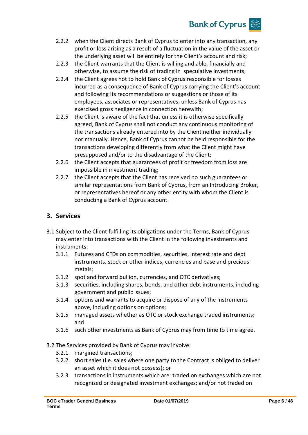## **Bank of Cyprus**

- 2.2.2 when the Client directs Bank of Cyprus to enter into any transaction, any profit or loss arising as a result of a fluctuation in the value of the asset or the underlying asset will be entirely for the Client's account and risk;
- 2.2.3 the Client warrants that the Client is willing and able, financially and otherwise, to assume the risk of trading in speculative investments;
- 2.2.4 the Client agrees not to hold Bank of Cyprus responsible for losses incurred as a consequence of Bank of Cyprus carrying the Client's account and following its recommendations or suggestions or those of its employees, associates or representatives, unless Bank of Cyprus has exercised gross negligence in connection herewith;
- 2.2.5 the Client is aware of the fact that unless it is otherwise specifically agreed, Bank of Cyprus shall not conduct any continuous monitoring of the transactions already entered into by the Client neither individually nor manually. Hence, Bank of Cyprus cannot be held responsible for the transactions developing differently from what the Client might have presupposed and/or to the disadvantage of the Client;
- 2.2.6 the Client accepts that guarantees of profit or freedom from loss are impossible in investment trading;
- 2.2.7 the Client accepts that the Client has received no such guarantees or similar representations from Bank of Cyprus, from an Introducing Broker, or representatives hereof or any other entity with whom the Client is conducting a Bank of Cyprus account.

## **3. Services**

- 3.1 Subject to the Client fulfilling its obligations under the Terms, Bank of Cyprus may enter into transactions with the Client in the following investments and instruments:
	- 3.1.1 Futures and CFDs on commodities, securities, interest rate and debt instruments, stock or other indices, currencies and base and precious metals;
	- 3.1.2 spot and forward bullion, currencies, and OTC derivatives;
	- 3.1.3 securities, including shares, bonds, and other debt instruments, including government and public issues;
	- 3.1.4 options and warrants to acquire or dispose of any of the instruments above, including options on options;
	- 3.1.5 managed assets whether as OTC or stock exchange traded instruments; and
	- 3.1.6 such other investments as Bank of Cyprus may from time to time agree.
- 3.2 The Services provided by Bank of Cyprus may involve:
	- 3.2.1 margined transactions;
	- 3.2.2 short sales (i.e. sales where one party to the Contract is obliged to deliver an asset which it does not possess); or
	- 3.2.3 transactions in instruments which are: traded on exchanges which are not recognized or designated investment exchanges; and/or not traded on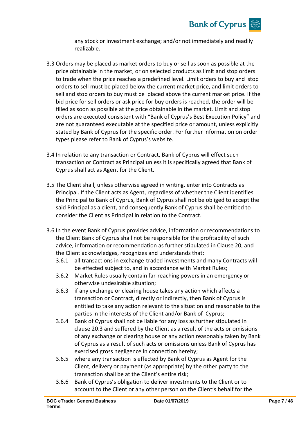

any stock or investment exchange; and/or not immediately and readily realizable.

- 3.3 Orders may be placed as market orders to buy or sell as soon as possible at the price obtainable in the market, or on selected products as limit and stop orders to trade when the price reaches a predefined level. Limit orders to buy and stop orders to sell must be placed below the current market price, and limit orders to sell and stop orders to buy must be placed above the current market price. If the bid price for sell orders or ask price for buy orders is reached, the order will be filled as soon as possible at the price obtainable in the market. Limit and stop orders are executed consistent with "Bank of Cyprus's Best Execution Policy" and are not guaranteed executable at the specified price or amount, unless explicitly stated by Bank of Cyprus for the specific order. For further information on order types please refer to Bank of Cyprus's website.
- 3.4 In relation to any transaction or Contract, Bank of Cyprus will effect such transaction or Contract as Principal unless it is specifically agreed that Bank of Cyprus shall act as Agent for the Client.
- 3.5 The Client shall, unless otherwise agreed in writing, enter into Contracts as Principal. If the Client acts as Agent, regardless of whether the Client identifies the Principal to Bank of Cyprus, Bank of Cyprus shall not be obliged to accept the said Principal as a client, and consequently Bank of Cyprus shall be entitled to consider the Client as Principal in relation to the Contract.
- 3.6 In the event Bank of Cyprus provides advice, information or recommendations to the Client Bank of Cyprus shall not be responsible for the profitability of such advice, information or recommendation as further stipulated in Clause 20, and the Client acknowledges, recognizes and understands that:
	- 3.6.1 all transactions in exchange-traded investments and many Contracts will be effected subject to, and in accordance with Market Rules;
	- 3.6.2 Market Rules usually contain far-reaching powers in an emergency or otherwise undesirable situation;
	- 3.6.3 if any exchange or clearing house takes any action which affects a transaction or Contract, directly or indirectly, then Bank of Cyprus is entitled to take any action relevant to the situation and reasonable to the parties in the interests of the Client and/or Bank of Cyprus;
	- 3.6.4 Bank of Cyprus shall not be liable for any loss as further stipulated in clause 20.3 and suffered by the Client as a result of the acts or omissions of any exchange or clearing house or any action reasonably taken by Bank of Cyprus as a result of such acts or omissions unless Bank of Cyprus has exercised gross negligence in connection hereby;
	- 3.6.5 where any transaction is effected by Bank of Cyprus as Agent for the Client, delivery or payment (as appropriate) by the other party to the transaction shall be at the Client's entire risk;
	- 3.6.6 Bank of Cyprus's obligation to deliver investments to the Client or to account to the Client or any other person on the Client's behalf for the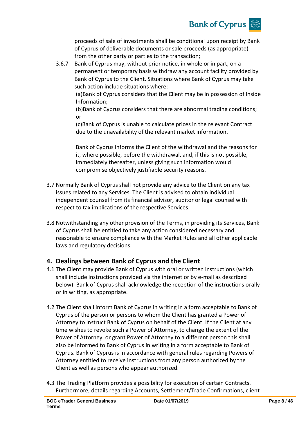

proceeds of sale of investments shall be conditional upon receipt by Bank of Cyprus of deliverable documents or sale proceeds (as appropriate) from the other party or parties to the transaction;

3.6.7 Bank of Cyprus may, without prior notice, in whole or in part, on a permanent or temporary basis withdraw any account facility provided by Bank of Cyprus to the Client. Situations where Bank of Cyprus may take such action include situations where:

(a)Bank of Cyprus considers that the Client may be in possession of Inside Information;

(b)Bank of Cyprus considers that there are abnormal trading conditions; or

(c)Bank of Cyprus is unable to calculate prices in the relevant Contract due to the unavailability of the relevant market information.

Bank of Cyprus informs the Client of the withdrawal and the reasons for it, where possible, before the withdrawal, and, if this is not possible, immediately thereafter, unless giving such information would compromise objectively justifiable security reasons.

- 3.7 Normally Bank of Cyprus shall not provide any advice to the Client on any tax issues related to any Services. The Client is advised to obtain individual independent counsel from its financial advisor, auditor or legal counsel with respect to tax implications of the respective Services.
- 3.8 Notwithstanding any other provision of the Terms, in providing its Services, Bank of Cyprus shall be entitled to take any action considered necessary and reasonable to ensure compliance with the Market Rules and all other applicable laws and regulatory decisions.

## **4. Dealings between Bank of Cyprus and the Client**

- 4.1 The Client may provide Bank of Cyprus with oral or written instructions (which shall include instructions provided via the internet or by e-mail as described below). Bank of Cyprus shall acknowledge the reception of the instructions orally or in writing, as appropriate.
- 4.2 The Client shall inform Bank of Cyprus in writing in a form acceptable to Bank of Cyprus of the person or persons to whom the Client has granted a Power of Attorney to instruct Bank of Cyprus on behalf of the Client. If the Client at any time wishes to revoke such a Power of Attorney, to change the extent of the Power of Attorney, or grant Power of Attorney to a different person this shall also be informed to Bank of Cyprus in writing in a form acceptable to Bank of Cyprus. Bank of Cyprus is in accordance with general rules regarding Powers of Attorney entitled to receive instructions from any person authorized by the Client as well as persons who appear authorized.
- 4.3 The Trading Platform provides a possibility for execution of certain Contracts. Furthermore, details regarding Accounts, Settlement/Trade Confirmations, client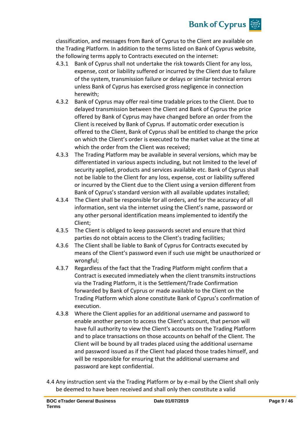# **Bank of Cyprus**

classification, and messages from Bank of Cyprus to the Client are available on the Trading Platform. In addition to the terms listed on Bank of Cyprus website, the following terms apply to Contracts executed on the internet:

- 4.3.1 Bank of Cyprus shall not undertake the risk towards Client for any loss, expense, cost or liability suffered or incurred by the Client due to failure of the system, transmission failure or delays or similar technical errors unless Bank of Cyprus has exercised gross negligence in connection herewith;
- 4.3.2 Bank of Cyprus may offer real-time tradable prices to the Client. Due to delayed transmission between the Client and Bank of Cyprus the price offered by Bank of Cyprus may have changed before an order from the Client is received by Bank of Cyprus. If automatic order execution is offered to the Client, Bank of Cyprus shall be entitled to change the price on which the Client's order is executed to the market value at the time at which the order from the Client was received;
- 4.3.3 The Trading Platform may be available in several versions, which may be differentiated in various aspects including, but not limited to the level of security applied, products and services available etc. Bank of Cyprus shall not be liable to the Client for any loss, expense, cost or liability suffered or incurred by the Client due to the Client using a version different from Bank of Cyprus's standard version with all available updates installed;
- 4.3.4 The Client shall be responsible for all orders, and for the accuracy of all information, sent via the internet using the Client's name, password or any other personal identification means implemented to identify the Client;
- 4.3.5 The Client is obliged to keep passwords secret and ensure that third parties do not obtain access to the Client's trading facilities;
- 4.3.6 The Client shall be liable to Bank of Cyprus for Contracts executed by means of the Client's password even if such use might be unauthorized or wrongful;
- 4.3.7 Regardless of the fact that the Trading Platform might confirm that a Contract is executed immediately when the client transmits instructions via the Trading Platform, it is the Settlement/Trade Confirmation forwarded by Bank of Cyprus or made available to the Client on the Trading Platform which alone constitute Bank of Cyprus's confirmation of execution.
- 4.3.8 Where the Client applies for an additional username and password to enable another person to access the Client's account, that person will have full authority to view the Client's accounts on the Trading Platform and to place transactions on those accounts on behalf of the Client. The Client will be bound by all trades placed using the additional username and password issued as if the Client had placed those trades himself, and will be responsible for ensuring that the additional username and password are kept confidential.
- 4.4 Any instruction sent via the Trading Platform or by e-mail by the Client shall only be deemed to have been received and shall only then constitute a valid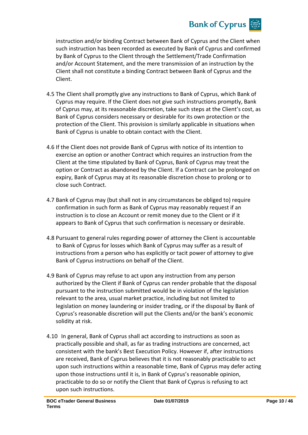

instruction and/or binding Contract between Bank of Cyprus and the Client when such instruction has been recorded as executed by Bank of Cyprus and confirmed by Bank of Cyprus to the Client through the Settlement/Trade Confirmation and/or Account Statement, and the mere transmission of an instruction by the Client shall not constitute a binding Contract between Bank of Cyprus and the Client.

- 4.5 The Client shall promptly give any instructions to Bank of Cyprus, which Bank of Cyprus may require. If the Client does not give such instructions promptly, Bank of Cyprus may, at its reasonable discretion, take such steps at the Client's cost, as Bank of Cyprus considers necessary or desirable for its own protection or the protection of the Client. This provision is similarly applicable in situations when Bank of Cyprus is unable to obtain contact with the Client.
- 4.6 If the Client does not provide Bank of Cyprus with notice of its intention to exercise an option or another Contract which requires an instruction from the Client at the time stipulated by Bank of Cyprus, Bank of Cyprus may treat the option or Contract as abandoned by the Client. If a Contract can be prolonged on expiry, Bank of Cyprus may at its reasonable discretion chose to prolong or to close such Contract.
- 4.7 Bank of Cyprus may (but shall not in any circumstances be obliged to) require confirmation in such form as Bank of Cyprus may reasonably request if an instruction is to close an Account or remit money due to the Client or if it appears to Bank of Cyprus that such confirmation is necessary or desirable.
- 4.8 Pursuant to general rules regarding power of attorney the Client is accountable to Bank of Cyprus for losses which Bank of Cyprus may suffer as a result of instructions from a person who has explicitly or tacit power of attorney to give Bank of Cyprus instructions on behalf of the Client.
- 4.9 Bank of Cyprus may refuse to act upon any instruction from any person authorized by the Client if Bank of Cyprus can render probable that the disposal pursuant to the instruction submitted would be in violation of the legislation relevant to the area, usual market practice, including but not limited to legislation on money laundering or insider trading, or if the disposal by Bank of Cyprus's reasonable discretion will put the Clients and/or the bank's economic solidity at risk.
- 4.10 In general, Bank of Cyprus shall act according to instructions as soon as practically possible and shall, as far as trading instructions are concerned, act consistent with the bank's Best Execution Policy. However if, after instructions are received, Bank of Cyprus believes that it is not reasonably practicable to act upon such instructions within a reasonable time, Bank of Cyprus may defer acting upon those instructions until it is, in Bank of Cyprus's reasonable opinion, practicable to do so or notify the Client that Bank of Cyprus is refusing to act upon such instructions.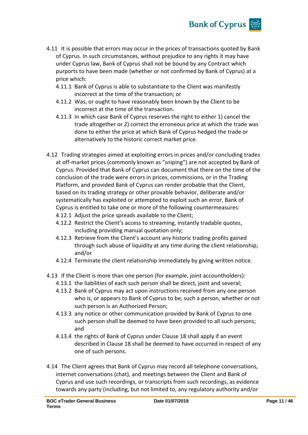

- 4.11 It is possible that errors may occur in the prices of transactions quoted by Bank of Cyprus. In such circumstances, without prejudice to any rights it may have under Cyprus law, Bank of Cyprus shall not be bound by any Contract which purports to have been made (whether or not confirmed by Bank of Cyprus) at a price which:
	- 4.11.1 Bank of Cyprus is able to substantiate to the Client was manifestly incorrect at the time of the transaction; or
	- 4.11.2 Was, or ought to have reasonably been known by the Client to be incorrect at the time of the transaction.
	- 4.11.3 In which case Bank of Cyprus reserves the right to either 1) cancel the trade altogether or 2) correct the erroneous price at which the trade was done to either the price at which Bank of Cyprus hedged the trade or alternatively to the historic correct market price.
- 4.12 Trading strategies aimed at exploiting errors in prices and/or concluding trades at off-market prices (commonly known as "sniping") are not accepted by Bank of Cyprus. Provided that Bank of Cyprus can document that there on the time of the conclusion of the trade were errors in prices, commissions, or in the Trading Platform, and provided Bank of Cyprus can render probable that the Client, based on its trading strategy or other provable behavior, deliberate and/or systematically has exploited or attempted to exploit such an error, Bank of Cyprus is entitled to take one or more of the following countermeasures:
	- 4.12.1 Adjust the price spreads available to the Client;
	- 4.12.2 Restrict the Client's access to streaming, instantly tradable quotes, including providing manual quotation only;
	- 4.12.3 Retrieve from the Client's account any historic trading profits gained through such abuse of liquidity at any time during the client relationship; and/or
	- 4.12.4 Terminate the client relationship immediately by giving written notice.
- 4.13 If the Client is more than one person (for example, joint accountholders):
	- 4.13.1 the liabilities of each such person shall be direct, joint and several;
	- 4.13.2 Bank of Cyprus may act upon instructions received from any one person who is, or appears to Bank of Cyprus to be, such a person, whether or not such person is an Authorized Person;
	- 4.13.3 any notice or other communication provided by Bank of Cyprus to one such person shall be deemed to have been provided to all such persons; and
	- 4.13.4 the rights of Bank of Cyprus under Clause 18 shall apply if an event described in Clause 18 shall be deemed to have occurred in respect of any one of such persons.
- 4.14 The Client agrees that Bank of Cyprus may record all telephone conversations, internet conversations (chat), and meetings between the Client and Bank of Cyprus and use such recordings, or transcripts from such recordings, as evidence towards any party (including, but not limited to, any regulatory authority and/or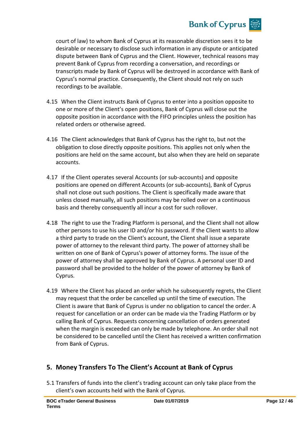

court of law) to whom Bank of Cyprus at its reasonable discretion sees it to be desirable or necessary to disclose such information in any dispute or anticipated dispute between Bank of Cyprus and the Client. However, technical reasons may prevent Bank of Cyprus from recording a conversation, and recordings or transcripts made by Bank of Cyprus will be destroyed in accordance with Bank of Cyprus's normal practice. Consequently, the Client should not rely on such recordings to be available.

- 4.15 When the Client instructs Bank of Cyprus to enter into a position opposite to one or more of the Client's open positions, Bank of Cyprus will close out the opposite position in accordance with the FIFO principles unless the position has related orders or otherwise agreed.
- 4.16 The Client acknowledges that Bank of Cyprus has the right to, but not the obligation to close directly opposite positions. This applies not only when the positions are held on the same account, but also when they are held on separate accounts.
- 4.17 If the Client operates several Accounts (or sub-accounts) and opposite positions are opened on different Accounts (or sub-accounts), Bank of Cyprus shall not close out such positions. The Client is specifically made aware that unless closed manually, all such positions may be rolled over on a continuous basis and thereby consequently all incur a cost for such rollover.
- 4.18 The right to use the Trading Platform is personal, and the Client shall not allow other persons to use his user ID and/or his password. If the Client wants to allow a third party to trade on the Client's account, the Client shall issue a separate power of attorney to the relevant third party. The power of attorney shall be written on one of Bank of Cyprus's power of attorney forms. The issue of the power of attorney shall be approved by Bank of Cyprus. A personal user ID and password shall be provided to the holder of the power of attorney by Bank of Cyprus.
- 4.19 Where the Client has placed an order which he subsequently regrets, the Client may request that the order be cancelled up until the time of execution. The Client is aware that Bank of Cyprus is under no obligation to cancel the order. A request for cancellation or an order can be made via the Trading Platform or by calling Bank of Cyprus. Requests concerning cancellation of orders generated when the margin is exceeded can only be made by telephone. An order shall not be considered to be cancelled until the Client has received a written confirmation from Bank of Cyprus.

## **5. Money Transfers To The Client's Account at Bank of Cyprus**

5.1 Transfers of funds into the client's trading account can only take place from the client's own accounts held with the Bank of Cyprus.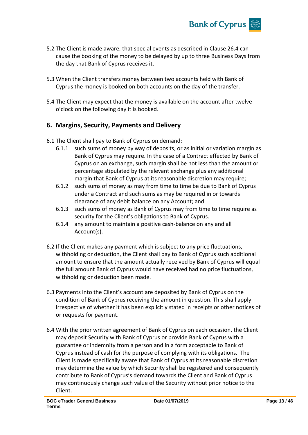

- 5.2 The Client is made aware, that special events as described in Clause 26.4 can cause the booking of the money to be delayed by up to three Business Days from the day that Bank of Cyprus receives it.
- 5.3 When the Client transfers money between two accounts held with Bank of Cyprus the money is booked on both accounts on the day of the transfer.
- 5.4 The Client may expect that the money is available on the account after twelve o'clock on the following day it is booked.

## **6. Margins, Security, Payments and Delivery**

- 6.1 The Client shall pay to Bank of Cyprus on demand:
	- 6.1.1 such sums of money by way of deposits, or as initial or variation margin as Bank of Cyprus may require. In the case of a Contract effected by Bank of Cyprus on an exchange, such margin shall be not less than the amount or percentage stipulated by the relevant exchange plus any additional margin that Bank of Cyprus at its reasonable discretion may require;
	- 6.1.2 such sums of money as may from time to time be due to Bank of Cyprus under a Contract and such sums as may be required in or towards clearance of any debit balance on any Account; and
	- 6.1.3 such sums of money as Bank of Cyprus may from time to time require as security for the Client's obligations to Bank of Cyprus.
	- 6.1.4 any amount to maintain a positive cash-balance on any and all Account(s).
- 6.2 If the Client makes any payment which is subject to any price fluctuations, withholding or deduction, the Client shall pay to Bank of Cyprus such additional amount to ensure that the amount actually received by Bank of Cyprus will equal the full amount Bank of Cyprus would have received had no price fluctuations, withholding or deduction been made.
- 6.3 Payments into the Client's account are deposited by Bank of Cyprus on the condition of Bank of Cyprus receiving the amount in question. This shall apply irrespective of whether it has been explicitly stated in receipts or other notices of or requests for payment.
- 6.4 With the prior written agreement of Bank of Cyprus on each occasion, the Client may deposit Security with Bank of Cyprus or provide Bank of Cyprus with a guarantee or indemnity from a person and in a form acceptable to Bank of Cyprus instead of cash for the purpose of complying with its obligations. The Client is made specifically aware that Bank of Cyprus at its reasonable discretion may determine the value by which Security shall be registered and consequently contribute to Bank of Cyprus's demand towards the Client and Bank of Cyprus may continuously change such value of the Security without prior notice to the Client.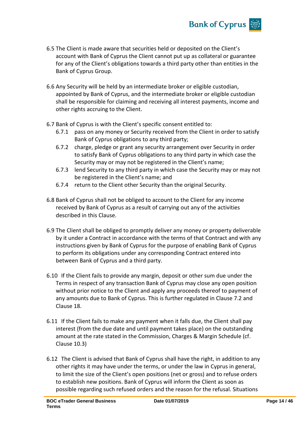

- 6.5 The Client is made aware that securities held or deposited on the Client's account with Bank of Cyprus the Client cannot put up as collateral or guarantee for any of the Client's obligations towards a third party other than entities in the Bank of Cyprus Group.
- 6.6 Any Security will be held by an intermediate broker or eligible custodian, appointed by Bank of Cyprus, and the intermediate broker or eligible custodian shall be responsible for claiming and receiving all interest payments, income and other rights accruing to the Client.
- 6.7 Bank of Cyprus is with the Client's specific consent entitled to:
	- 6.7.1 pass on any money or Security received from the Client in order to satisfy Bank of Cyprus obligations to any third party;
	- 6.7.2 charge, pledge or grant any security arrangement over Security in order to satisfy Bank of Cyprus obligations to any third party in which case the Security may or may not be registered in the Client's name;
	- 6.7.3 lend Security to any third party in which case the Security may or may not be registered in the Client's name; and
	- 6.7.4 return to the Client other Security than the original Security.
- 6.8 Bank of Cyprus shall not be obliged to account to the Client for any income received by Bank of Cyprus as a result of carrying out any of the activities described in this Clause.
- 6.9 The Client shall be obliged to promptly deliver any money or property deliverable by it under a Contract in accordance with the terms of that Contract and with any instructions given by Bank of Cyprus for the purpose of enabling Bank of Cyprus to perform its obligations under any corresponding Contract entered into between Bank of Cyprus and a third party.
- 6.10 If the Client fails to provide any margin, deposit or other sum due under the Terms in respect of any transaction Bank of Cyprus may close any open position without prior notice to the Client and apply any proceeds thereof to payment of any amounts due to Bank of Cyprus. This is further regulated in Clause 7.2 and Clause 18.
- 6.11 If the Client fails to make any payment when it falls due, the Client shall pay interest (from the due date and until payment takes place) on the outstanding amount at the rate stated in the Commission, Charges & Margin Schedule (cf. Clause 10.3)
- 6.12 The Client is advised that Bank of Cyprus shall have the right, in addition to any other rights it may have under the terms, or under the law in Cyprus in general, to limit the size of the Client's open positions (net or gross) and to refuse orders to establish new positions. Bank of Cyprus will inform the Client as soon as possible regarding such refused orders and the reason for the refusal. Situations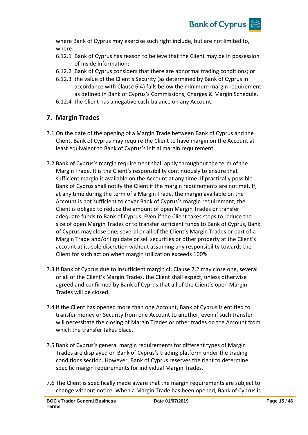

where Bank of Cyprus may exercise such right include, but are not limited to, where:

- 6.12.1 Bank of Cyprus has reason to believe that the Client may be in possession of Inside Information;
- 6.12.2 Bank of Cyprus considers that there are abnormal trading conditions; or
- 6.12.3 the value of the Client's Security (as determined by Bank of Cyprus in accordance with Clause 6.4) falls below the minimum margin requirement as defined in Bank of Cyprus's Commissions, Charges & Margin Schedule.
- 6.12.4 the Client has a negative cash-balance on any Account.

## **7. Margin Trades**

- 7.1 On the date of the opening of a Margin Trade between Bank of Cyprus and the Client, Bank of Cyprus may require the Client to have margin on the Account at least equivalent to Bank of Cyprus's initial margin requirement.
- 7.2 Bank of Cyprus's margin requirement shall apply throughout the term of the Margin Trade. It is the Client's responsibility continuously to ensure that sufficient margin is available on the Account at any time. If practically possible Bank of Cyprus shall notify the Client if the margin requirements are not met. If, at any time during the term of a Margin Trade, the margin available on the Account is not sufficient to cover Bank of Cyprus's margin requirement, the Client is obliged to reduce the amount of open Margin Trades or transfer adequate funds to Bank of Cyprus. Even if the Client takes steps to reduce the size of open Margin Trades or to transfer sufficient funds to Bank of Cyprus, Bank of Cyprus may close one, several or all of the Client's Margin Trades or part of a Margin Trade and/or liquidate or sell securities or other property at the Client's account at its sole discretion without assuming any responsibility towards the Client for such action when margin utilization exceeds 100%
- 7.3 If Bank of Cyprus due to insufficient margin cf. Clause 7.2 may close one, several or all of the Client's Margin Trades, the Client shall expect, unless otherwise agreed and confirmed by Bank of Cyprus that all of the Client's open Margin Trades will be closed.
- 7.4 If the Client has opened more than one Account, Bank of Cyprus is entitled to transfer money or Security from one Account to another, even if such transfer will necessitate the closing of Margin Trades or other trades on the Account from which the transfer takes place.
- 7.5 Bank of Cyprus's general margin requirements for different types of Margin Trades are displayed on Bank of Cyprus's trading platform under the trading conditions section. However, Bank of Cyprus reserves the right to determine specific margin requirements for individual Margin Trades.
- 7.6 The Client is specifically made aware that the margin requirements are subject to change without notice. When a Margin Trade has been opened, Bank of Cyprus is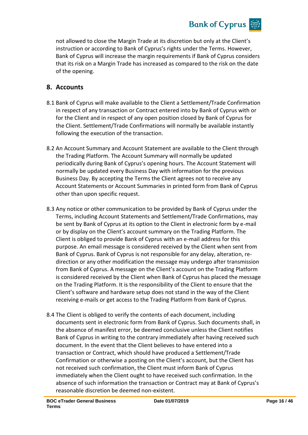not allowed to close the Margin Trade at its discretion but only at the Client's instruction or according to Bank of Cyprus's rights under the Terms. However, Bank of Cyprus will increase the margin requirements if Bank of Cyprus considers that its risk on a Margin Trade has increased as compared to the risk on the date of the opening.

**Bank of Cyprus** 

## **8. Accounts**

- 8.1 Bank of Cyprus will make available to the Client a Settlement/Trade Confirmation in respect of any transaction or Contract entered into by Bank of Cyprus with or for the Client and in respect of any open position closed by Bank of Cyprus for the Client. Settlement/Trade Confirmations will normally be available instantly following the execution of the transaction.
- 8.2 An Account Summary and Account Statement are available to the Client through the Trading Platform. The Account Summary will normally be updated periodically during Bank of Cyprus's opening hours. The Account Statement will normally be updated every Business Day with information for the previous Business Day. By accepting the Terms the Client agrees not to receive any Account Statements or Account Summaries in printed form from Bank of Cyprus other than upon specific request.
- 8.3 Any notice or other communication to be provided by Bank of Cyprus under the Terms, including Account Statements and Settlement/Trade Confirmations, may be sent by Bank of Cyprus at its option to the Client in electronic form by e-mail or by display on the Client's account summary on the Trading Platform. The Client is obliged to provide Bank of Cyprus with an e-mail address for this purpose. An email message is considered received by the Client when sent from Bank of Cyprus. Bank of Cyprus is not responsible for any delay, alteration, redirection or any other modification the message may undergo after transmission from Bank of Cyprus. A message on the Client's account on the Trading Platform is considered received by the Client when Bank of Cyprus has placed the message on the Trading Platform. It is the responsibility of the Client to ensure that the Client's software and hardware setup does not stand in the way of the Client receiving e-mails or get access to the Trading Platform from Bank of Cyprus.
- 8.4 The Client is obliged to verify the contents of each document, including documents sent in electronic form from Bank of Cyprus. Such documents shall, in the absence of manifest error, be deemed conclusive unless the Client notifies Bank of Cyprus in writing to the contrary immediately after having received such document. In the event that the Client believes to have entered into a transaction or Contract, which should have produced a Settlement/Trade Confirmation or otherwise a posting on the Client's account, but the Client has not received such confirmation, the Client must inform Bank of Cyprus immediately when the Client ought to have received such confirmation. In the absence of such information the transaction or Contract may at Bank of Cyprus's reasonable discretion be deemed non-existent.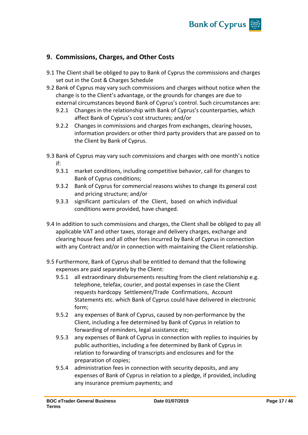

## **9. Commissions, Charges, and Other Costs**

- 9.1 The Client shall be obliged to pay to Bank of Cyprus the commissions and charges set out in the Cost & Charges Schedule
- 9.2 Bank of Cyprus may vary such commissions and charges without notice when the change is to the Client's advantage, or the grounds for changes are due to external circumstances beyond Bank of Cyprus's control. Such circumstances are:
	- 9.2.1 Changes in the relationship with Bank of Cyprus's counterparties, which affect Bank of Cyprus's cost structures; and/or
	- 9.2.2 Changes in commissions and charges from exchanges, clearing houses, information providers or other third party providers that are passed on to the Client by Bank of Cyprus.
- 9.3 Bank of Cyprus may vary such commissions and charges with one month's notice if:
	- 9.3.1 market conditions, including competitive behavior, call for changes to Bank of Cyprus conditions;
	- 9.3.2 Bank of Cyprus for commercial reasons wishes to change its general cost and pricing structure; and/or
	- 9.3.3 significant particulars of the Client, based on which individual conditions were provided, have changed.
- 9.4 In addition to such commissions and charges, the Client shall be obliged to pay all applicable VAT and other taxes, storage and delivery charges, exchange and clearing house fees and all other fees incurred by Bank of Cyprus in connection with any Contract and/or in connection with maintaining the Client relationship.
- 9.5 Furthermore, Bank of Cyprus shall be entitled to demand that the following expenses are paid separately by the Client:
	- 9.5.1 all extraordinary disbursements resulting from the client relationship e.g. telephone, telefax, courier, and postal expenses in case the Client requests hardcopy Settlement/Trade Confirmations, Account Statements etc. which Bank of Cyprus could have delivered in electronic form;
	- 9.5.2 any expenses of Bank of Cyprus, caused by non-performance by the Client, including a fee determined by Bank of Cyprus in relation to forwarding of reminders, legal assistance etc;
	- 9.5.3 any expenses of Bank of Cyprus in connection with replies to inquiries by public authorities, including a fee determined by Bank of Cyprus in relation to forwarding of transcripts and enclosures and for the preparation of copies;
	- 9.5.4 administration fees in connection with security deposits, and any expenses of Bank of Cyprus in relation to a pledge, if provided, including any insurance premium payments; and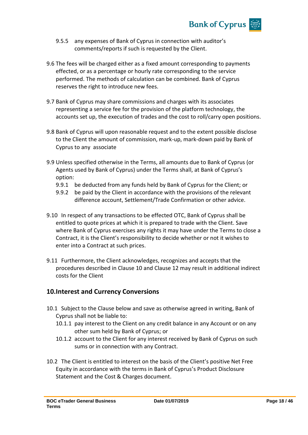

- 9.5.5 any expenses of Bank of Cyprus in connection with auditor's comments/reports if such is requested by the Client.
- 9.6 The fees will be charged either as a fixed amount corresponding to payments effected, or as a percentage or hourly rate corresponding to the service performed. The methods of calculation can be combined. Bank of Cyprus reserves the right to introduce new fees.
- 9.7 Bank of Cyprus may share commissions and charges with its associates representing a service fee for the provision of the platform technology, the accounts set up, the execution of trades and the cost to roll/carry open positions.
- 9.8 Bank of Cyprus will upon reasonable request and to the extent possible disclose to the Client the amount of commission, mark-up, mark-down paid by Bank of Cyprus to any associate
- 9.9 Unless specified otherwise in the Terms, all amounts due to Bank of Cyprus (or Agents used by Bank of Cyprus) under the Terms shall, at Bank of Cyprus's option:
	- 9.9.1 be deducted from any funds held by Bank of Cyprus for the Client; or
	- 9.9.2 be paid by the Client in accordance with the provisions of the relevant difference account, Settlement/Trade Confirmation or other advice.
- 9.10 In respect of any transactions to be effected OTC, Bank of Cyprus shall be entitled to quote prices at which it is prepared to trade with the Client. Save where Bank of Cyprus exercises any rights it may have under the Terms to close a Contract, it is the Client's responsibility to decide whether or not it wishes to enter into a Contract at such prices.
- 9.11 Furthermore, the Client acknowledges, recognizes and accepts that the procedures described in Clause 10 and Clause 12 may result in additional indirect costs for the Client

## **10.Interest and Currency Conversions**

- 10.1 Subject to the Clause below and save as otherwise agreed in writing, Bank of Cyprus shall not be liable to:
	- 10.1.1 pay interest to the Client on any credit balance in any Account or on any other sum held by Bank of Cyprus; or
	- 10.1.2 account to the Client for any interest received by Bank of Cyprus on such sums or in connection with any Contract.
- 10.2 The Client is entitled to interest on the basis of the Client's positive Net Free Equity in accordance with the terms in Bank of Cyprus's Product Disclosure Statement and the Cost & Charges document.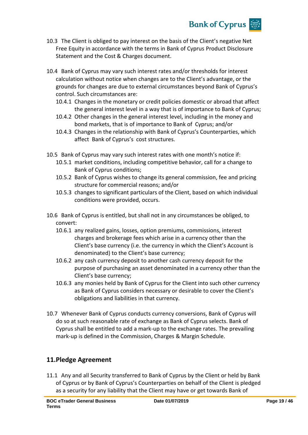

- 10.3 The Client is obliged to pay interest on the basis of the Client's negative Net Free Equity in accordance with the terms in Bank of Cyprus Product Disclosure Statement and the Cost & Charges document.
- 10.4 Bank of Cyprus may vary such interest rates and/or thresholds for interest calculation without notice when changes are to the Client's advantage, or the grounds for changes are due to external circumstances beyond Bank of Cyprus's control. Such circumstances are:
	- 10.4.1 Changes in the monetary or credit policies domestic or abroad that affect the general interest level in a way that is of importance to Bank of Cyprus;
	- 10.4.2 Other changes in the general interest level, including in the money and bond markets, that is of importance to Bank of Cyprus; and/or
	- 10.4.3 Changes in the relationship with Bank of Cyprus's Counterparties, which affect Bank of Cyprus's cost structures.
- 10.5 Bank of Cyprus may vary such interest rates with one month's notice if:
	- 10.5.1 market conditions, including competitive behavior, call for a change to Bank of Cyprus conditions;
	- 10.5.2 Bank of Cyprus wishes to change its general commission, fee and pricing structure for commercial reasons; and/or
	- 10.5.3 changes to significant particulars of the Client, based on which individual conditions were provided, occurs.
- 10.6 Bank of Cyprus is entitled, but shall not in any circumstances be obliged, to convert:
	- 10.6.1 any realized gains, losses, option premiums, commissions, interest charges and brokerage fees which arise in a currency other than the Client's base currency (i.e. the currency in which the Client's Account is denominated) to the Client's base currency;
	- 10.6.2 any cash currency deposit to another cash currency deposit for the purpose of purchasing an asset denominated in a currency other than the Client's base currency;
	- 10.6.3 any monies held by Bank of Cyprus for the Client into such other currency as Bank of Cyprus considers necessary or desirable to cover the Client's obligations and liabilities in that currency.
- 10.7 Whenever Bank of Cyprus conducts currency conversions, Bank of Cyprus will do so at such reasonable rate of exchange as Bank of Cyprus selects. Bank of Cyprus shall be entitled to add a mark-up to the exchange rates. The prevailing mark-up is defined in the Commission, Charges & Margin Schedule.

## **11.Pledge Agreement**

11.1 Any and all Security transferred to Bank of Cyprus by the Client or held by Bank of Cyprus or by Bank of Cyprus's Counterparties on behalf of the Client is pledged as a security for any liability that the Client may have or get towards Bank of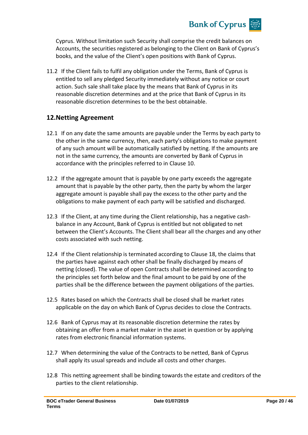

Cyprus. Without limitation such Security shall comprise the credit balances on Accounts, the securities registered as belonging to the Client on Bank of Cyprus's books, and the value of the Client's open positions with Bank of Cyprus.

11.2 If the Client fails to fulfil any obligation under the Terms, Bank of Cyprus is entitled to sell any pledged Security immediately without any notice or court action. Such sale shall take place by the means that Bank of Cyprus in its reasonable discretion determines and at the price that Bank of Cyprus in its reasonable discretion determines to be the best obtainable.

## **12.Netting Agreement**

- 12.1 If on any date the same amounts are payable under the Terms by each party to the other in the same currency, then, each party's obligations to make payment of any such amount will be automatically satisfied by netting. If the amounts are not in the same currency, the amounts are converted by Bank of Cyprus in accordance with the principles referred to in Clause 10.
- 12.2 If the aggregate amount that is payable by one party exceeds the aggregate amount that is payable by the other party, then the party by whom the larger aggregate amount is payable shall pay the excess to the other party and the obligations to make payment of each party will be satisfied and discharged.
- 12.3 If the Client, at any time during the Client relationship, has a negative cashbalance in any Account, Bank of Cyprus is entitled but not obligated to net between the Client's Accounts. The Client shall bear all the charges and any other costs associated with such netting.
- 12.4 If the Client relationship is terminated according to Clause 18, the claims that the parties have against each other shall be finally discharged by means of netting (closed). The value of open Contracts shall be determined according to the principles set forth below and the final amount to be paid by one of the parties shall be the difference between the payment obligations of the parties.
- 12.5 Rates based on which the Contracts shall be closed shall be market rates applicable on the day on which Bank of Cyprus decides to close the Contracts.
- 12.6 Bank of Cyprus may at its reasonable discretion determine the rates by obtaining an offer from a market maker in the asset in question or by applying rates from electronic financial information systems.
- 12.7 When determining the value of the Contracts to be netted, Bank of Cyprus shall apply its usual spreads and include all costs and other charges.
- 12.8 This netting agreement shall be binding towards the estate and creditors of the parties to the client relationship.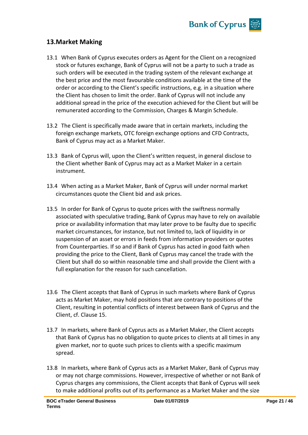

## **13.Market Making**

- 13.1 When Bank of Cyprus executes orders as Agent for the Client on a recognized stock or futures exchange, Bank of Cyprus will not be a party to such a trade as such orders will be executed in the trading system of the relevant exchange at the best price and the most favourable conditions available at the time of the order or according to the Client's specific instructions, e.g. in a situation where the Client has chosen to limit the order. Bank of Cyprus will not include any additional spread in the price of the execution achieved for the Client but will be remunerated according to the Commission, Charges & Margin Schedule.
- 13.2 The Client is specifically made aware that in certain markets, including the foreign exchange markets, OTC foreign exchange options and CFD Contracts, Bank of Cyprus may act as a Market Maker.
- 13.3 Bank of Cyprus will, upon the Client's written request, in general disclose to the Client whether Bank of Cyprus may act as a Market Maker in a certain instrument.
- 13.4 When acting as a Market Maker, Bank of Cyprus will under normal market circumstances quote the Client bid and ask prices.
- 13.5 In order for Bank of Cyprus to quote prices with the swiftness normally associated with speculative trading, Bank of Cyprus may have to rely on available price or availability information that may later prove to be faulty due to specific market circumstances, for instance, but not limited to, lack of liquidity in or suspension of an asset or errors in feeds from information providers or quotes from Counterparties. If so and if Bank of Cyprus has acted in good faith when providing the price to the Client, Bank of Cyprus may cancel the trade with the Client but shall do so within reasonable time and shall provide the Client with a full explanation for the reason for such cancellation.
- 13.6 The Client accepts that Bank of Cyprus in such markets where Bank of Cyprus acts as Market Maker, may hold positions that are contrary to positions of the Client, resulting in potential conflicts of interest between Bank of Cyprus and the Client, cf. Clause 15.
- 13.7 In markets, where Bank of Cyprus acts as a Market Maker, the Client accepts that Bank of Cyprus has no obligation to quote prices to clients at all times in any given market, nor to quote such prices to clients with a specific maximum spread.
- 13.8 In markets, where Bank of Cyprus acts as a Market Maker, Bank of Cyprus may or may not charge commissions. However, irrespective of whether or not Bank of Cyprus charges any commissions, the Client accepts that Bank of Cyprus will seek to make additional profits out of its performance as a Market Maker and the size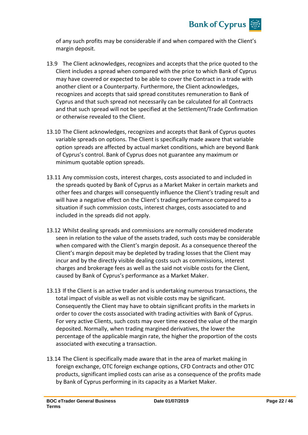

of any such profits may be considerable if and when compared with the Client's margin deposit.

- 13.9 The Client acknowledges, recognizes and accepts that the price quoted to the Client includes a spread when compared with the price to which Bank of Cyprus may have covered or expected to be able to cover the Contract in a trade with another client or a Counterparty. Furthermore, the Client acknowledges, recognizes and accepts that said spread constitutes remuneration to Bank of Cyprus and that such spread not necessarily can be calculated for all Contracts and that such spread will not be specified at the Settlement/Trade Confirmation or otherwise revealed to the Client.
- 13.10 The Client acknowledges, recognizes and accepts that Bank of Cyprus quotes variable spreads on options. The Client is specifically made aware that variable option spreads are affected by actual market conditions, which are beyond Bank of Cyprus's control. Bank of Cyprus does not guarantee any maximum or minimum quotable option spreads.
- 13.11 Any commission costs, interest charges, costs associated to and included in the spreads quoted by Bank of Cyprus as a Market Maker in certain markets and other fees and charges will consequently influence the Client's trading result and will have a negative effect on the Client's trading performance compared to a situation if such commission costs, interest charges, costs associated to and included in the spreads did not apply.
- 13.12 Whilst dealing spreads and commissions are normally considered moderate seen in relation to the value of the assets traded, such costs may be considerable when compared with the Client's margin deposit. As a consequence thereof the Client's margin deposit may be depleted by trading losses that the Client may incur and by the directly visible dealing costs such as commissions, interest charges and brokerage fees as well as the said not visible costs for the Client, caused by Bank of Cyprus's performance as a Market Maker.
- 13.13 If the Client is an active trader and is undertaking numerous transactions, the total impact of visible as well as not visible costs may be significant. Consequently the Client may have to obtain significant profits in the markets in order to cover the costs associated with trading activities with Bank of Cyprus. For very active Clients, such costs may over time exceed the value of the margin deposited. Normally, when trading margined derivatives, the lower the percentage of the applicable margin rate, the higher the proportion of the costs associated with executing a transaction.
- 13.14 The Client is specifically made aware that in the area of market making in foreign exchange, OTC foreign exchange options, CFD Contracts and other OTC products, significant implied costs can arise as a consequence of the profits made by Bank of Cyprus performing in its capacity as a Market Maker.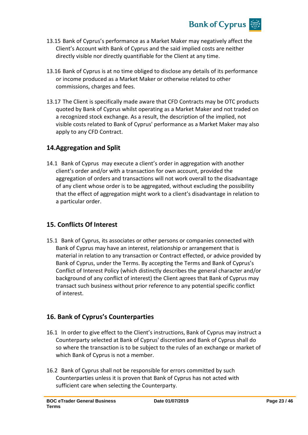

- 13.15 Bank of Cyprus's performance as a Market Maker may negatively affect the Client's Account with Bank of Cyprus and the said implied costs are neither directly visible nor directly quantifiable for the Client at any time.
- 13.16 Bank of Cyprus is at no time obliged to disclose any details of its performance or income produced as a Market Maker or otherwise related to other commissions, charges and fees.
- 13.17 The Client is specifically made aware that CFD Contracts may be OTC products quoted by Bank of Cyprus whilst operating as a Market Maker and not traded on a recognized stock exchange. As a result, the description of the implied, not visible costs related to Bank of Cyprus' performance as a Market Maker may also apply to any CFD Contract.

## **14.Aggregation and Split**

14.1 Bank of Cyprus may execute a client's order in aggregation with another client's order and/or with a transaction for own account, provided the aggregation of orders and transactions will not work overall to the disadvantage of any client whose order is to be aggregated, without excluding the possibility that the effect of aggregation might work to a client's disadvantage in relation to a particular order.

## **15. Conflicts Of Interest**

15.1 Bank of Cyprus, its associates or other persons or companies connected with Bank of Cyprus may have an interest, relationship or arrangement that is material in relation to any transaction or Contract effected, or advice provided by Bank of Cyprus, under the Terms. By accepting the Terms and Bank of Cyprus's Conflict of Interest Policy (which distinctly describes the general character and/or background of any conflict of interest) the Client agrees that Bank of Cyprus may transact such business without prior reference to any potential specific conflict of interest.

## **16. Bank of Cyprus's Counterparties**

- 16.1 In order to give effect to the Client's instructions, Bank of Cyprus may instruct a Counterparty selected at Bank of Cyprus' discretion and Bank of Cyprus shall do so where the transaction is to be subject to the rules of an exchange or market of which Bank of Cyprus is not a member.
- 16.2 Bank of Cyprus shall not be responsible for errors committed by such Counterparties unless it is proven that Bank of Cyprus has not acted with sufficient care when selecting the Counterparty.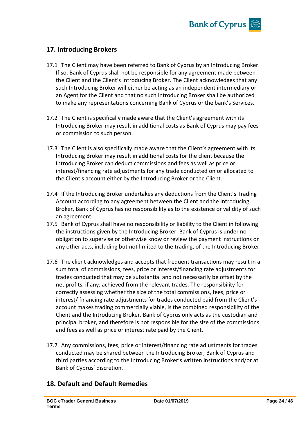

## **17. Introducing Brokers**

- 17.1 The Client may have been referred to Bank of Cyprus by an Introducing Broker. If so, Bank of Cyprus shall not be responsible for any agreement made between the Client and the Client's Introducing Broker. The Client acknowledges that any such Introducing Broker will either be acting as an independent intermediary or an Agent for the Client and that no such Introducing Broker shall be authorized to make any representations concerning Bank of Cyprus or the bank's Services.
- 17.2 The Client is specifically made aware that the Client's agreement with its Introducing Broker may result in additional costs as Bank of Cyprus may pay fees or commission to such person.
- 17.3 The Client is also specifically made aware that the Client's agreement with its Introducing Broker may result in additional costs for the client because the Introducing Broker can deduct commissions and fees as well as price or interest/financing rate adjustments for any trade conducted on or allocated to the Client's account either by the Introducing Broker or the Client.
- 17.4 If the Introducing Broker undertakes any deductions from the Client's Trading Account according to any agreement between the Client and the Introducing Broker, Bank of Cyprus has no responsibility as to the existence or validity of such an agreement.
- 17.5 Bank of Cyprus shall have no responsibility or liability to the Client in following the instructions given by the Introducing Broker. Bank of Cyprus is under no obligation to supervise or otherwise know or review the payment instructions or any other acts, including but not limited to the trading, of the Introducing Broker.
- 17.6 The client acknowledges and accepts that frequent transactions may result in a sum total of commissions, fees, price or interest/financing rate adjustments for trades conducted that may be substantial and not necessarily be offset by the net profits, if any, achieved from the relevant trades. The responsibility for correctly assessing whether the size of the total commissions, fees, price or interest/ financing rate adjustments for trades conducted paid from the Client's account makes trading commercially viable, is the combined responsibility of the Client and the Introducing Broker. Bank of Cyprus only acts as the custodian and principal broker, and therefore is not responsible for the size of the commissions and fees as well as price or interest rate paid by the Client.
- 17.7 Any commissions, fees, price or interest/financing rate adjustments for trades conducted may be shared between the Introducing Broker, Bank of Cyprus and third parties according to the Introducing Broker's written instructions and/or at Bank of Cyprus' discretion.

## **18. Default and Default Remedies**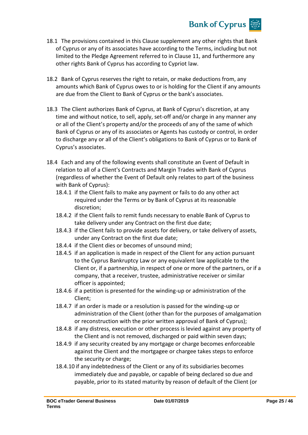

- 18.1 The provisions contained in this Clause supplement any other rights that Bank of Cyprus or any of its associates have according to the Terms, including but not limited to the Pledge Agreement referred to in Clause 11, and furthermore any other rights Bank of Cyprus has according to Cypriot law.
- 18.2 Bank of Cyprus reserves the right to retain, or make deductions from, any amounts which Bank of Cyprus owes to or is holding for the Client if any amounts are due from the Client to Bank of Cyprus or the bank's associates.
- 18.3 The Client authorizes Bank of Cyprus, at Bank of Cyprus's discretion, at any time and without notice, to sell, apply, set-off and/or charge in any manner any or all of the Client's property and/or the proceeds of any of the same of which Bank of Cyprus or any of its associates or Agents has custody or control, in order to discharge any or all of the Client's obligations to Bank of Cyprus or to Bank of Cyprus's associates.
- 18.4 Each and any of the following events shall constitute an Event of Default in relation to all of a Client's Contracts and Margin Trades with Bank of Cyprus (regardless of whether the Event of Default only relates to part of the business with Bank of Cyprus):
	- 18.4.1 if the Client fails to make any payment or fails to do any other act required under the Terms or by Bank of Cyprus at its reasonable discretion;
	- 18.4.2 if the Client fails to remit funds necessary to enable Bank of Cyprus to take delivery under any Contract on the first due date;
	- 18.4.3 if the Client fails to provide assets for delivery, or take delivery of assets, under any Contract on the first due date;
	- 18.4.4 if the Client dies or becomes of unsound mind;
	- 18.4.5 if an application is made in respect of the Client for any action pursuant to the Cyprus Bankruptcy Law or any equivalent law applicable to the Client or, if a partnership, in respect of one or more of the partners, or if a company, that a receiver, trustee, administrative receiver or similar officer is appointed;
	- 18.4.6 if a petition is presented for the winding-up or administration of the Client;
	- 18.4.7 if an order is made or a resolution is passed for the winding-up or administration of the Client (other than for the purposes of amalgamation or reconstruction with the prior written approval of Bank of Cyprus);
	- 18.4.8 if any distress, execution or other process is levied against any property of the Client and is not removed, discharged or paid within seven days;
	- 18.4.9 if any security created by any mortgage or charge becomes enforceable against the Client and the mortgagee or chargee takes steps to enforce the security or charge;
	- 18.4.10 if any indebtedness of the Client or any of its subsidiaries becomes immediately due and payable, or capable of being declared so due and payable, prior to its stated maturity by reason of default of the Client (or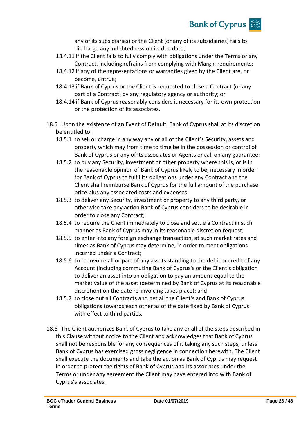

any of its subsidiaries) or the Client (or any of its subsidiaries) fails to discharge any indebtedness on its due date;

- 18.4.11 if the Client fails to fully comply with obligations under the Terms or any Contract, including refrains from complying with Margin requirements;
- 18.4.12 if any of the representations or warranties given by the Client are, or become, untrue;
- 18.4.13 if Bank of Cyprus or the Client is requested to close a Contract (or any part of a Contract) by any regulatory agency or authority; or
- 18.4.14 if Bank of Cyprus reasonably considers it necessary for its own protection or the protection of its associates.
- 18.5 Upon the existence of an Event of Default, Bank of Cyprus shall at its discretion be entitled to:
	- 18.5.1 to sell or charge in any way any or all of the Client's Security, assets and property which may from time to time be in the possession or control of Bank of Cyprus or any of its associates or Agents or call on any guarantee;
	- 18.5.2 to buy any Security, investment or other property where this is, or is in the reasonable opinion of Bank of Cyprus likely to be, necessary in order for Bank of Cyprus to fulfil its obligations under any Contract and the Client shall reimburse Bank of Cyprus for the full amount of the purchase price plus any associated costs and expenses;
	- 18.5.3 to deliver any Security, investment or property to any third party, or otherwise take any action Bank of Cyprus considers to be desirable in order to close any Contract;
	- 18.5.4 to require the Client immediately to close and settle a Contract in such manner as Bank of Cyprus may in its reasonable discretion request;
	- 18.5.5 to enter into any foreign exchange transaction, at such market rates and times as Bank of Cyprus may determine, in order to meet obligations incurred under a Contract;
	- 18.5.6 to re-invoice all or part of any assets standing to the debit or credit of any Account (including commuting Bank of Cyprus's or the Client's obligation to deliver an asset into an obligation to pay an amount equal to the market value of the asset (determined by Bank of Cyprus at its reasonable discretion) on the date re-invoicing takes place); and
	- 18.5.7 to close out all Contracts and net all the Client's and Bank of Cyprus' obligations towards each other as of the date fixed by Bank of Cyprus with effect to third parties.
- 18.6 The Client authorizes Bank of Cyprus to take any or all of the steps described in this Clause without notice to the Client and acknowledges that Bank of Cyprus shall not be responsible for any consequences of it taking any such steps, unless Bank of Cyprus has exercised gross negligence in connection herewith. The Client shall execute the documents and take the action as Bank of Cyprus may request in order to protect the rights of Bank of Cyprus and its associates under the Terms or under any agreement the Client may have entered into with Bank of Cyprus's associates.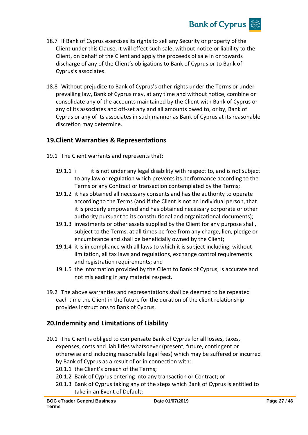

- 18.7 If Bank of Cyprus exercises its rights to sell any Security or property of the Client under this Clause, it will effect such sale, without notice or liability to the Client, on behalf of the Client and apply the proceeds of sale in or towards discharge of any of the Client's obligations to Bank of Cyprus or to Bank of Cyprus's associates.
- 18.8 Without prejudice to Bank of Cyprus's other rights under the Terms or under prevailing law, Bank of Cyprus may, at any time and without notice, combine or consolidate any of the accounts maintained by the Client with Bank of Cyprus or any of its associates and off-set any and all amounts owed to, or by, Bank of Cyprus or any of its associates in such manner as Bank of Cyprus at its reasonable discretion may determine.

## **19.Client Warranties & Representations**

- 19.1 The Client warrants and represents that:
	- 19.1.1 i it is not under any legal disability with respect to, and is not subject to any law or regulation which prevents its performance according to the Terms or any Contract or transaction contemplated by the Terms;
	- 19.1.2 it has obtained all necessary consents and has the authority to operate according to the Terms (and if the Client is not an individual person, that it is properly empowered and has obtained necessary corporate or other authority pursuant to its constitutional and organizational documents);
	- 19.1.3 investments or other assets supplied by the Client for any purpose shall, subject to the Terms, at all times be free from any charge, lien, pledge or encumbrance and shall be beneficially owned by the Client;
	- 19.1.4 it is in compliance with all laws to which it is subject including, without limitation, all tax laws and regulations, exchange control requirements and registration requirements; and
	- 19.1.5 the information provided by the Client to Bank of Cyprus, is accurate and not misleading in any material respect.
- 19.2 The above warranties and representations shall be deemed to be repeated each time the Client in the future for the duration of the client relationship provides instructions to Bank of Cyprus.

## **20.Indemnity and Limitations of Liability**

- 20.1 The Client is obliged to compensate Bank of Cyprus for all losses, taxes, expenses, costs and liabilities whatsoever (present, future, contingent or otherwise and including reasonable legal fees) which may be suffered or incurred by Bank of Cyprus as a result of or in connection with:
	- 20.1.1 the Client's breach of the Terms;
	- 20.1.2 Bank of Cyprus entering into any transaction or Contract; or
	- 20.1.3 Bank of Cyprus taking any of the steps which Bank of Cyprus is entitled to take in an Event of Default;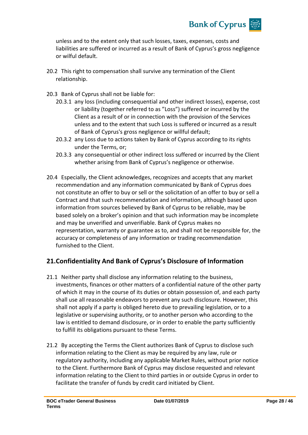

unless and to the extent only that such losses, taxes, expenses, costs and liabilities are suffered or incurred as a result of Bank of Cyprus's gross negligence or wilful default.

- 20.2 This right to compensation shall survive any termination of the Client relationship.
- 20.3 Bank of Cyprus shall not be liable for:
	- 20.3.1 any loss (including consequential and other indirect losses), expense, cost or liability (together referred to as "Loss") suffered or incurred by the Client as a result of or in connection with the provision of the Services unless and to the extent that such Loss is suffered or incurred as a result of Bank of Cyprus's gross negligence or willful default;
	- 20.3.2 any Loss due to actions taken by Bank of Cyprus according to its rights under the Terms, or;
	- 20.3.3 any consequential or other indirect loss suffered or incurred by the Client whether arising from Bank of Cyprus's negligence or otherwise.
- 20.4 Especially, the Client acknowledges, recognizes and accepts that any market recommendation and any information communicated by Bank of Cyprus does not constitute an offer to buy or sell or the solicitation of an offer to buy or sell a Contract and that such recommendation and information, although based upon information from sources believed by Bank of Cyprus to be reliable, may be based solely on a broker's opinion and that such information may be incomplete and may be unverified and unverifiable. Bank of Cyprus makes no representation, warranty or guarantee as to, and shall not be responsible for, the accuracy or completeness of any information or trading recommendation furnished to the Client.

## **21.Confidentiality And Bank of Cyprus's Disclosure of Information**

- 21.1 Neither party shall disclose any information relating to the business, investments, finances or other matters of a confidential nature of the other party of which it may in the course of its duties or obtain possession of, and each party shall use all reasonable endeavors to prevent any such disclosure. However, this shall not apply if a party is obliged hereto due to prevailing legislation, or to a legislative or supervising authority, or to another person who according to the law is entitled to demand disclosure, or in order to enable the party sufficiently to fulfill its obligations pursuant to these Terms.
- 21.2 By accepting the Terms the Client authorizes Bank of Cyprus to disclose such information relating to the Client as may be required by any law, rule or regulatory authority, including any applicable Market Rules, without prior notice to the Client. Furthermore Bank of Cyprus may disclose requested and relevant information relating to the Client to third parties in or outside Cyprus in order to facilitate the transfer of funds by credit card initiated by Client.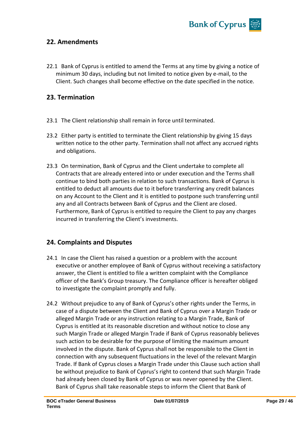

## **22. Amendments**

22.1 Bank of Cyprus is entitled to amend the Terms at any time by giving a notice of minimum 30 days, including but not limited to notice given by e-mail, to the Client. Such changes shall become effective on the date specified in the notice.

## **23. Termination**

- 23.1 The Client relationship shall remain in force until terminated.
- 23.2 Either party is entitled to terminate the Client relationship by giving 15 days written notice to the other party. Termination shall not affect any accrued rights and obligations.
- 23.3 On termination, Bank of Cyprus and the Client undertake to complete all Contracts that are already entered into or under execution and the Terms shall continue to bind both parties in relation to such transactions. Bank of Cyprus is entitled to deduct all amounts due to it before transferring any credit balances on any Account to the Client and it is entitled to postpone such transferring until any and all Contracts between Bank of Cyprus and the Client are closed. Furthermore, Bank of Cyprus is entitled to require the Client to pay any charges incurred in transferring the Client's investments.

## **24. Complaints and Disputes**

- 24.1 In case the Client has raised a question or a problem with the account executive or another employee of Bank of Cyprus without receiving a satisfactory answer, the Client is entitled to file a written complaint with the Compliance officer of the Bank's Group treasury. The Compliance officer is hereafter obliged to investigate the complaint promptly and fully.
- 24.2 Without prejudice to any of Bank of Cyprus's other rights under the Terms, in case of a dispute between the Client and Bank of Cyprus over a Margin Trade or alleged Margin Trade or any instruction relating to a Margin Trade, Bank of Cyprus is entitled at its reasonable discretion and without notice to close any such Margin Trade or alleged Margin Trade if Bank of Cyprus reasonably believes such action to be desirable for the purpose of limiting the maximum amount involved in the dispute. Bank of Cyprus shall not be responsible to the Client in connection with any subsequent fluctuations in the level of the relevant Margin Trade. If Bank of Cyprus closes a Margin Trade under this Clause such action shall be without prejudice to Bank of Cyprus's right to contend that such Margin Trade had already been closed by Bank of Cyprus or was never opened by the Client. Bank of Cyprus shall take reasonable steps to inform the Client that Bank of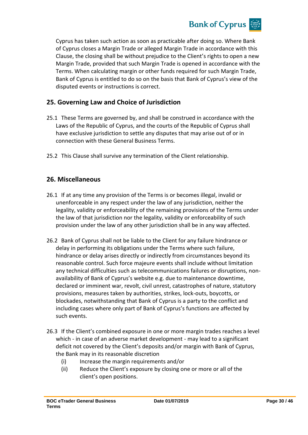

Cyprus has taken such action as soon as practicable after doing so. Where Bank of Cyprus closes a Margin Trade or alleged Margin Trade in accordance with this Clause, the closing shall be without prejudice to the Client's rights to open a new Margin Trade, provided that such Margin Trade is opened in accordance with the Terms. When calculating margin or other funds required for such Margin Trade, Bank of Cyprus is entitled to do so on the basis that Bank of Cyprus's view of the disputed events or instructions is correct.

## **25. Governing Law and Choice of Jurisdiction**

- 25.1 These Terms are governed by, and shall be construed in accordance with the Laws of the Republic of Cyprus, and the courts of the Republic of Cyprus shall have exclusive jurisdiction to settle any disputes that may arise out of or in connection with these General Business Terms.
- 25.2 This Clause shall survive any termination of the Client relationship.

## **26. Miscellaneous**

- 26.1 If at any time any provision of the Terms is or becomes illegal, invalid or unenforceable in any respect under the law of any jurisdiction, neither the legality, validity or enforceability of the remaining provisions of the Terms under the law of that jurisdiction nor the legality, validity or enforceability of such provision under the law of any other jurisdiction shall be in any way affected.
- 26.2 Bank of Cyprus shall not be liable to the Client for any failure hindrance or delay in performing its obligations under the Terms where such failure, hindrance or delay arises directly or indirectly from circumstances beyond its reasonable control. Such force majeure events shall include without limitation any technical difficulties such as telecommunications failures or disruptions, nonavailability of Bank of Cyprus's website e.g. due to maintenance downtime, declared or imminent war, revolt, civil unrest, catastrophes of nature, statutory provisions, measures taken by authorities, strikes, lock-outs, boycotts, or blockades, notwithstanding that Bank of Cyprus is a party to the conflict and including cases where only part of Bank of Cyprus's functions are affected by such events.
- 26.3 If the Client's combined exposure in one or more margin trades reaches a level which - in case of an adverse market development - may lead to a significant deficit not covered by the Client's deposits and/or margin with Bank of Cyprus, the Bank may in its reasonable discretion
	- (i) Increase the margin requirements and/or
	- (ii) Reduce the Client's exposure by closing one or more or all of the client's open positions.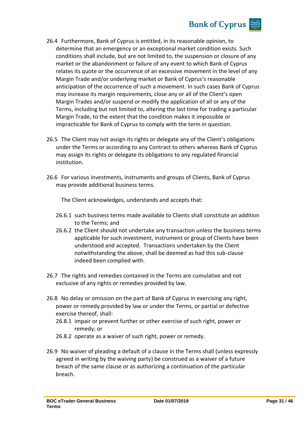

- 26.4 Furthermore, Bank of Cyprus is entitled, in its reasonable opinion, to determine that an emergency or an exceptional market condition exists. Such conditions shall include, but are not limited to, the suspension or closure of any market or the abandonment or failure of any event to which Bank of Cyprus relates its quote or the occurrence of an excessive movement in the level of any Margin Trade and/or underlying market or Bank of Cyprus's reasonable anticipation of the occurrence of such a movement. In such cases Bank of Cyprus may increase its margin requirements, close any or all of the Client's open Margin Trades and/or suspend or modify the application of all or any of the Terms, including but not limited to, altering the last time for trading a particular Margin Trade, to the extent that the condition makes it impossible or impracticable for Bank of Cyprus to comply with the term in question.
- 26.5 The Client may not assign its rights or delegate any of the Client's obligations under the Terms or according to any Contract to others whereas Bank of Cyprus may assign its rights or delegate its obligations to any regulated financial institution.
- 26.6 For various investments, instruments and groups of Clients, Bank of Cyprus may provide additional business terms.

The Client acknowledges, understands and accepts that:

- 26.6.1 such business terms made available to Clients shall constitute an addition to the Terms; and
- 26.6.2 the Client should not undertake any transaction unless the business terms applicable for such investment, instrument or group of Clients have been understood and accepted. Transactions undertaken by the Client notwithstanding the above, shall be deemed as had this sub-clause indeed been complied with.
- 26.7 The rights and remedies contained in the Terms are cumulative and not exclusive of any rights or remedies provided by law.
- 26.8 No delay or omission on the part of Bank of Cyprus in exercising any right, power or remedy provided by law or under the Terms, or partial or defective exercise thereof, shall:
	- 26.8.1 impair or prevent further or other exercise of such right, power or remedy; or
	- 26.8.2 operate as a waiver of such right, power or remedy.
- 26.9 No waiver of pleading a default of a clause in the Terms shall (unless expressly agreed in writing by the waiving party) be construed as a waiver of a future breach of the same clause or as authorizing a continuation of the particular breach.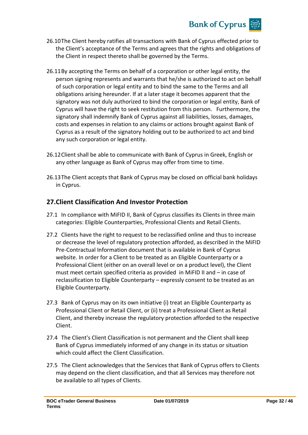

- 26.10The Client hereby ratifies all transactions with Bank of Cyprus effected prior to the Client's acceptance of the Terms and agrees that the rights and obligations of the Client in respect thereto shall be governed by the Terms.
- 26.11By accepting the Terms on behalf of a corporation or other legal entity, the person signing represents and warrants that he/she is authorized to act on behalf of such corporation or legal entity and to bind the same to the Terms and all obligations arising hereunder. If at a later stage it becomes apparent that the signatory was not duly authorized to bind the corporation or legal entity, Bank of Cyprus will have the right to seek restitution from this person. Furthermore, the signatory shall indemnify Bank of Cyprus against all liabilities, losses, damages, costs and expenses in relation to any claims or actions brought against Bank of Cyprus as a result of the signatory holding out to be authorized to act and bind any such corporation or legal entity.
- 26.12Client shall be able to communicate with Bank of Cyprus in Greek, English or any other language as Bank of Cyprus may offer from time to time.
- 26.13The Client accepts that Bank of Cyprus may be closed on official bank holidays in Cyprus.

## **27.Client Classification And Investor Protection**

- 27.1 In compliance with MiFID II, Bank of Cyprus classifies its Clients in three main categories: Eligible Counterparties, Professional Clients and Retail Clients.
- 27.2 Clients have the right to request to be reclassified online and thus to increase or decrease the level of regulatory protection afforded, as described in the MiFID Pre-Contractual Information document that is available in Bank of Cyprus website. In order for a Client to be treated as an Eligible Counterparty or a Professional Client (either on an overall level or on a product level), the Client must meet certain specified criteria as provided in MiFID II and – in case of reclassification to Eligible Counterparty – expressly consent to be treated as an Eligible Counterparty.
- 27.3 Bank of Cyprus may on its own initiative (i) treat an Eligible Counterparty as Professional Client or Retail Client, or (ii) treat a Professional Client as Retail Client, and thereby increase the regulatory protection afforded to the respective Client.
- 27.4 The Client's Client Classification is not permanent and the Client shall keep Bank of Cyprus immediately informed of any change in its status or situation which could affect the Client Classification.
- 27.5 The Client acknowledges that the Services that Bank of Cyprus offers to Clients may depend on the client classification, and that all Services may therefore not be available to all types of Clients.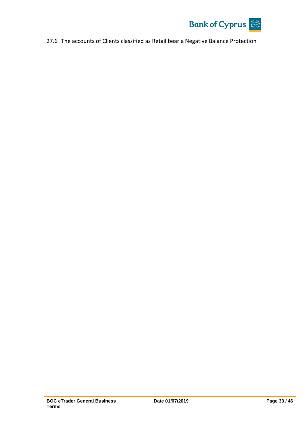

27.6 The accounts of Clients classified as Retail bear a Negative Balance Protection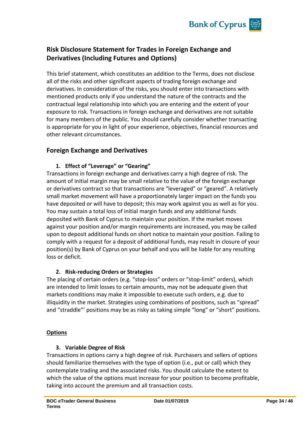

## **Risk Disclosure Statement for Trades in Foreign Exchange and Derivatives (Including Futures and Options)**

This brief statement, which constitutes an addition to the Terms, does not disclose all of the risks and other significant aspects of trading foreign exchange and derivatives. In consideration of the risks, you should enter into transactions with mentioned products only if you understand the nature of the contracts and the contractual legal relationship into which you are entering and the extent of your exposure to risk. Transactions in foreign exchange and derivatives are not suitable for many members of the public. You should carefully consider whether transacting is appropriate for you in light of your experience, objectives, financial resources and other relevant circumstances.

## **Foreign Exchange and Derivatives**

### **1. Effect of "Leverage" or "Gearing"**

Transactions in foreign exchange and derivatives carry a high degree of risk. The amount of initial margin may be small relative to the value of the foreign exchange or derivatives contract so that transactions are "leveraged" or "geared". A relatively small market movement will have a proportionately larger impact on the funds you have deposited or will have to deposit; this may work against you as well as for you. You may sustain a total loss of initial margin funds and any additional funds deposited with Bank of Cyprus to maintain your position. If the market moves against your position and/or margin requirements are increased, you may be called upon to deposit additional funds on short notice to maintain your position. Failing to comply with a request for a deposit of additional funds, may result in closure of your position(s) by Bank of Cyprus on your behalf and you will be liable for any resulting loss or deficit.

### **2. Risk-reducing Orders or Strategies**

The placing of certain orders (e.g. "stop-loss" orders or "stop-limit" orders), which are intended to limit losses to certain amounts, may not be adequate given that markets conditions may make it impossible to execute such orders, e.g. due to illiquidity in the market. Strategies using combinations of positions, such as "spread" and "straddle"' positions may be as risky as taking simple "long" or "short" positions.

#### **Options**

### **3. Variable Degree of Risk**

Transactions in options carry a high degree of risk. Purchasers and sellers of options should familiarize themselves with the type of option (i.e., put or call) which they contemplate trading and the associated risks. You should calculate the extent to which the value of the options must increase for your position to become profitable, taking into account the premium and all transaction costs.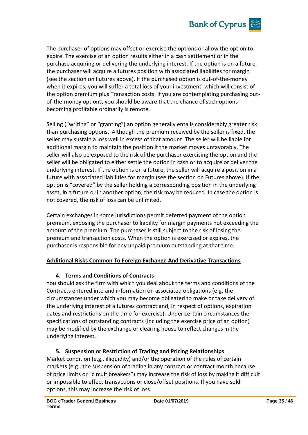

The purchaser of options may offset or exercise the options or allow the option to expire. The exercise of an option results either in a cash settlement or in the purchase acquiring or delivering the underlying interest. If the option is on a future, the purchaser will acquire a futures position with associated liabilities for margin (see the section on Futures above). If the purchased option is out-of-the-money when it expires, you will suffer a total loss of your investment, which will consist of the option premium plus Transaction costs. If you are contemplating purchasing outof-the-money options, you should be aware that the chance of such options becoming profitable ordinarily is remote.

Selling ("writing" or "granting") an option generally entails considerably greater risk than purchasing options. Although the premium received by the seller is fixed, the seller may sustain a loss well in excess of that amount. The seller will be liable for additional margin to maintain the position if the market moves unfavorably. The seller will also be exposed to the risk of the purchaser exercising the option and the seller will be obligated to either settle the option in cash or to acquire or deliver the underlying interest. If the option is on a future, the seller will acquire a position in a future with associated liabilities for margin (see the section on Futures above). If the option is "covered" by the seller holding a corresponding position in the underlying asset, in a future or in another option, the risk may be reduced. In case the option is not covered, the risk of loss can be unlimited.

Certain exchanges in some jurisdictions permit deferred payment of the option premium, exposing the purchaser to liability for margin payments not exceeding the amount of the premium. The purchaser is still subject to the risk of losing the premium and transaction costs. When the option is exercised or expires, the purchaser is responsible for any unpaid premium outstanding at that time.

### **Additional Risks Common To Foreign Exchange And Derivative Transactions**

### **4. Terms and Conditions of Contracts**

You should ask the firm with which you deal about the terms and conditions of the Contracts entered into and information on associated obligations (e.g. the circumstances under which you may become obligated to make or take delivery of the underlying interest of a futures contract and, in respect of options, expiration dates and restrictions on the time for exercise). Under certain circumstances the specifications of outstanding contracts (including the exercise price of an option) may be modified by the exchange or clearing house to reflect changes in the underlying interest.

### **5. Suspension or Restriction of Trading and Pricing Relationships**

Market condition (e.g., illiquidity) and/or the operation of the rules of certain markets (e.g., the suspension of trading in any contract or contract month because of price limits or "circuit breakers") may increase the risk of loss by making it difficult or impossible to effect transactions or close/offset positions. If you have sold options, this may increase the risk of loss.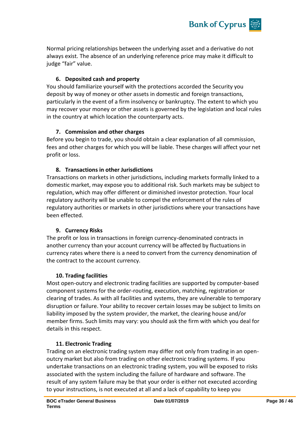

Normal pricing relationships between the underlying asset and a derivative do not always exist. The absence of an underlying reference price may make it difficult to judge "fair" value.

### **6. Deposited cash and property**

You should familiarize yourself with the protections accorded the Security you deposit by way of money or other assets in domestic and foreign transactions, particularly in the event of a firm insolvency or bankruptcy. The extent to which you may recover your money or other assets is governed by the legislation and local rules in the country at which location the counterparty acts.

#### **7. Commission and other charges**

Before you begin to trade, you should obtain a clear explanation of all commission, fees and other charges for which you will be liable. These charges will affect your net profit or loss.

#### **8. Transactions in other Jurisdictions**

Transactions on markets in other jurisdictions, including markets formally linked to a domestic market, may expose you to additional risk. Such markets may be subject to regulation, which may offer different or diminished investor protection. Your local regulatory authority will be unable to compel the enforcement of the rules of regulatory authorities or markets in other jurisdictions where your transactions have been effected.

#### **9. Currency Risks**

The profit or loss in transactions in foreign currency-denominated contracts in another currency than your account currency will be affected by fluctuations in currency rates where there is a need to convert from the currency denomination of the contract to the account currency.

#### **10. Trading facilities**

Most open-outcry and electronic trading facilities are supported by computer-based component systems for the order-routing, execution, matching, registration or clearing of trades. As with all facilities and systems, they are vulnerable to temporary disruption or failure. Your ability to recover certain losses may be subject to limits on liability imposed by the system provider, the market, the clearing house and/or member firms. Such limits may vary: you should ask the firm with which you deal for details in this respect.

#### **11. Electronic Trading**

Trading on an electronic trading system may differ not only from trading in an openoutcry market but also from trading on other electronic trading systems. If you undertake transactions on an electronic trading system, you will be exposed to risks associated with the system including the failure of hardware and software. The result of any system failure may be that your order is either not executed according to your instructions, is not executed at all and a lack of capability to keep you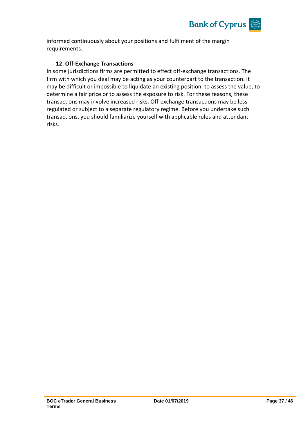

informed continuously about your positions and fulfilment of the margin requirements.

#### **12. Off-Exchange Transactions**

In some jurisdictions firms are permitted to effect off-exchange transactions. The firm with which you deal may be acting as your counterpart to the transaction. It may be difficult or impossible to liquidate an existing position, to assess the value, to determine a fair price or to assess the exposure to risk. For these reasons, these transactions may involve increased risks. Off-exchange transactions may be less regulated or subject to a separate regulatory regime. Before you undertake such transactions, you should familiarize yourself with applicable rules and attendant risks.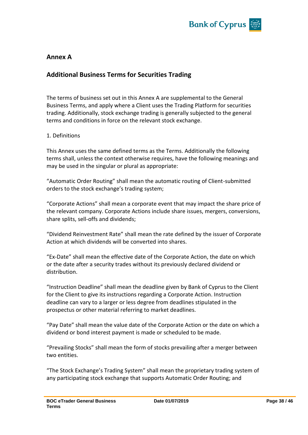

## **Annex A**

## **Additional Business Terms for Securities Trading**

The terms of business set out in this Annex A are supplemental to the General Business Terms, and apply where a Client uses the Trading Platform for securities trading. Additionally, stock exchange trading is generally subjected to the general terms and conditions in force on the relevant stock exchange.

#### 1. Definitions

This Annex uses the same defined terms as the Terms. Additionally the following terms shall, unless the context otherwise requires, have the following meanings and may be used in the singular or plural as appropriate:

"Automatic Order Routing" shall mean the automatic routing of Client-submitted orders to the stock exchange's trading system;

"Corporate Actions" shall mean a corporate event that may impact the share price of the relevant company. Corporate Actions include share issues, mergers, conversions, share splits, sell-offs and dividends;

"Dividend Reinvestment Rate" shall mean the rate defined by the issuer of Corporate Action at which dividends will be converted into shares.

"Ex-Date" shall mean the effective date of the Corporate Action, the date on which or the date after a security trades without its previously declared dividend or distribution.

"Instruction Deadline" shall mean the deadline given by Bank of Cyprus to the Client for the Client to give its instructions regarding a Corporate Action. Instruction deadline can vary to a larger or less degree from deadlines stipulated in the prospectus or other material referring to market deadlines.

"Pay Date" shall mean the value date of the Corporate Action or the date on which a dividend or bond interest payment is made or scheduled to be made.

"Prevailing Stocks" shall mean the form of stocks prevailing after a merger between two entities.

"The Stock Exchange's Trading System" shall mean the proprietary trading system of any participating stock exchange that supports Automatic Order Routing; and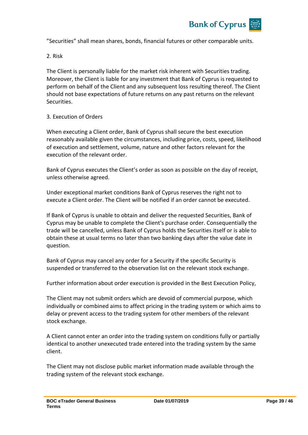

"Securities" shall mean shares, bonds, financial futures or other comparable units.

2. Risk

The Client is personally liable for the market risk inherent with Securities trading. Moreover, the Client is liable for any investment that Bank of Cyprus is requested to perform on behalf of the Client and any subsequent loss resulting thereof. The Client should not base expectations of future returns on any past returns on the relevant Securities.

#### 3. Execution of Orders

When executing a Client order, Bank of Cyprus shall secure the best execution reasonably available given the circumstances, including price, costs, speed, likelihood of execution and settlement, volume, nature and other factors relevant for the execution of the relevant order.

Bank of Cyprus executes the Client's order as soon as possible on the day of receipt, unless otherwise agreed.

Under exceptional market conditions Bank of Cyprus reserves the right not to execute a Client order. The Client will be notified if an order cannot be executed.

If Bank of Cyprus is unable to obtain and deliver the requested Securities, Bank of Cyprus may be unable to complete the Client's purchase order. Consequentially the trade will be cancelled, unless Bank of Cyprus holds the Securities itself or is able to obtain these at usual terms no later than two banking days after the value date in question.

Bank of Cyprus may cancel any order for a Security if the specific Security is suspended or transferred to the observation list on the relevant stock exchange.

Further information about order execution is provided in the Best Execution Policy,

The Client may not submit orders which are devoid of commercial purpose, which individually or combined aims to affect pricing in the trading system or which aims to delay or prevent access to the trading system for other members of the relevant stock exchange.

A Client cannot enter an order into the trading system on conditions fully or partially identical to another unexecuted trade entered into the trading system by the same client.

The Client may not disclose public market information made available through the trading system of the relevant stock exchange.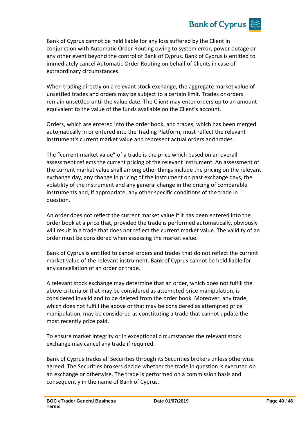## **Bank of Cyprus**

Bank of Cyprus cannot be held liable for any loss suffered by the Client in conjunction with Automatic Order Routing owing to system error, power outage or any other event beyond the control of Bank of Cyprus. Bank of Cyprus is entitled to immediately cancel Automatic Order Routing on behalf of Clients in case of extraordinary circumstances.

When trading directly on a relevant stock exchange, the aggregate market value of unsettled trades and orders may be subject to a certain limit. Trades or orders remain unsettled until the value date. The Client may enter orders up to an amount equivalent to the value of the funds available on the Client's account.

Orders, which are entered into the order book, and trades, which has been merged automatically in or entered into the Trading Platform, must reflect the relevant instrument's current market value and represent actual orders and trades.

The "current market value" of a trade is the price which based on an overall assessment reflects the current pricing of the relevant instrument. An assessment of the current market value shall among other things include the pricing on the relevant exchange day, any change in pricing of the instrument on past exchange days, the volatility of the instrument and any general change in the pricing of comparable instruments and, if appropriate, any other specific conditions of the trade in question.

An order does not reflect the current market value if it has been entered into the order book at a price that, provided the trade is performed automatically, obviously will result in a trade that does not reflect the current market value. The validity of an order must be considered when assessing the market value.

Bank of Cyprus is entitled to cancel orders and trades that do not reflect the current market value of the relevant instrument. Bank of Cyprus cannot be held liable for any cancellation of an order or trade.

A relevant stock exchange may determine that an order, which does not fulfill the above criteria or that may be considered as attempted price manipulation, is considered invalid and to be deleted from the order book. Moreover, any trade, which does not fulfill the above or that may be considered as attempted price manipulation, may be considered as constituting a trade that cannot update the most recently price paid.

To ensure market integrity or in exceptional circumstances the relevant stock exchange may cancel any trade if required.

Bank of Cyprus trades all Securities through its Securities brokers unless otherwise agreed. The Securities brokers decide whether the trade in question is executed on an exchange or otherwise. The trade is performed on a commission basis and consequently in the name of Bank of Cyprus.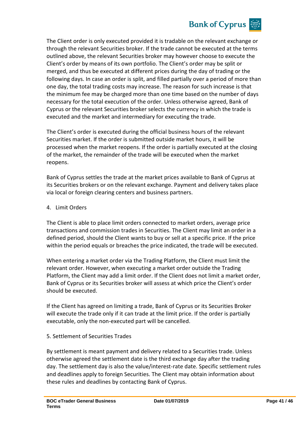

The Client order is only executed provided it is tradable on the relevant exchange or through the relevant Securities broker. If the trade cannot be executed at the terms outlined above, the relevant Securities broker may however choose to execute the Client's order by means of its own portfolio. The Client's order may be split or merged, and thus be executed at different prices during the day of trading or the following days. In case an order is split, and filled partially over a period of more than one day, the total trading costs may increase. The reason for such increase is that the minimum fee may be charged more than one time based on the number of days necessary for the total execution of the order. Unless otherwise agreed, Bank of Cyprus or the relevant Securities broker selects the currency in which the trade is executed and the market and intermediary for executing the trade.

The Client's order is executed during the official business hours of the relevant Securities market. If the order is submitted outside market hours, it will be processed when the market reopens. If the order is partially executed at the closing of the market, the remainder of the trade will be executed when the market reopens.

Bank of Cyprus settles the trade at the market prices available to Bank of Cyprus at its Securities brokers or on the relevant exchange. Payment and delivery takes place via local or foreign clearing centers and business partners.

#### 4. Limit Orders

The Client is able to place limit orders connected to market orders, average price transactions and commission trades in Securities. The Client may limit an order in a defined period, should the Client wants to buy or sell at a specific price. If the price within the period equals or breaches the price indicated, the trade will be executed.

When entering a market order via the Trading Platform, the Client must limit the relevant order. However, when executing a market order outside the Trading Platform, the Client may add a limit order. If the Client does not limit a market order, Bank of Cyprus or its Securities broker will assess at which price the Client's order should be executed.

If the Client has agreed on limiting a trade, Bank of Cyprus or its Securities Broker will execute the trade only if it can trade at the limit price. If the order is partially executable, only the non-executed part will be cancelled.

#### 5. Settlement of Securities Trades

By settlement is meant payment and delivery related to a Securities trade. Unless otherwise agreed the settlement date is the third exchange day after the trading day. The settlement day is also the value/interest-rate date. Specific settlement rules and deadlines apply to foreign Securities. The Client may obtain information about these rules and deadlines by contacting Bank of Cyprus.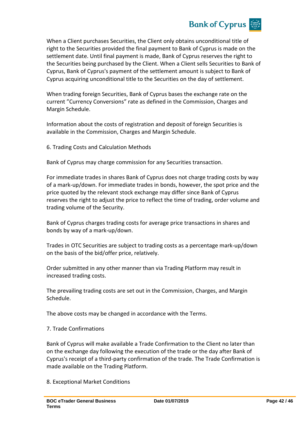

When a Client purchases Securities, the Client only obtains unconditional title of right to the Securities provided the final payment to Bank of Cyprus is made on the settlement date. Until final payment is made, Bank of Cyprus reserves the right to the Securities being purchased by the Client. When a Client sells Securities to Bank of Cyprus, Bank of Cyprus's payment of the settlement amount is subject to Bank of Cyprus acquiring unconditional title to the Securities on the day of settlement.

When trading foreign Securities, Bank of Cyprus bases the exchange rate on the current "Currency Conversions" rate as defined in the Commission, Charges and Margin Schedule.

Information about the costs of registration and deposit of foreign Securities is available in the Commission, Charges and Margin Schedule.

6. Trading Costs and Calculation Methods

Bank of Cyprus may charge commission for any Securities transaction.

For immediate trades in shares Bank of Cyprus does not charge trading costs by way of a mark-up/down. For immediate trades in bonds, however, the spot price and the price quoted by the relevant stock exchange may differ since Bank of Cyprus reserves the right to adjust the price to reflect the time of trading, order volume and trading volume of the Security.

Bank of Cyprus charges trading costs for average price transactions in shares and bonds by way of a mark-up/down.

Trades in OTC Securities are subject to trading costs as a percentage mark-up/down on the basis of the bid/offer price, relatively.

Order submitted in any other manner than via Trading Platform may result in increased trading costs.

The prevailing trading costs are set out in the Commission, Charges, and Margin Schedule.

The above costs may be changed in accordance with the Terms.

#### 7. Trade Confirmations

Bank of Cyprus will make available a Trade Confirmation to the Client no later than on the exchange day following the execution of the trade or the day after Bank of Cyprus's receipt of a third-party confirmation of the trade. The Trade Confirmation is made available on the Trading Platform.

8. Exceptional Market Conditions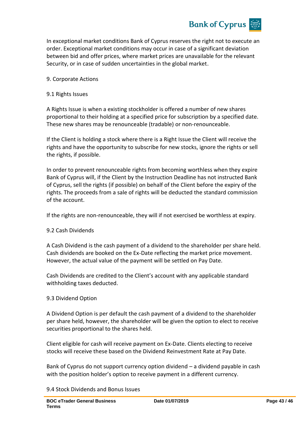

In exceptional market conditions Bank of Cyprus reserves the right not to execute an order. Exceptional market conditions may occur in case of a significant deviation between bid and offer prices, where market prices are unavailable for the relevant Security, or in case of sudden uncertainties in the global market.

#### 9. Corporate Actions

#### 9.1 Rights Issues

A Rights Issue is when a existing stockholder is offered a number of new shares proportional to their holding at a specified price for subscription by a specified date. These new shares may be renounceable (tradable) or non-renounceable.

If the Client is holding a stock where there is a Right Issue the Client will receive the rights and have the opportunity to subscribe for new stocks, ignore the rights or sell the rights, if possible.

In order to prevent renounceable rights from becoming worthless when they expire Bank of Cyprus will, if the Client by the Instruction Deadline has not instructed Bank of Cyprus, sell the rights (if possible) on behalf of the Client before the expiry of the rights. The proceeds from a sale of rights will be deducted the standard commission of the account.

If the rights are non-renounceable, they will if not exercised be worthless at expiry.

#### 9.2 Cash Dividends

A Cash Dividend is the cash payment of a dividend to the shareholder per share held. Cash dividends are booked on the Ex-Date reflecting the market price movement. However, the actual value of the payment will be settled on Pay Date.

Cash Dividends are credited to the Client's account with any applicable standard withholding taxes deducted.

#### 9.3 Dividend Option

A Dividend Option is per default the cash payment of a dividend to the shareholder per share held, however, the shareholder will be given the option to elect to receive securities proportional to the shares held.

Client eligible for cash will receive payment on Ex-Date. Clients electing to receive stocks will receive these based on the Dividend Reinvestment Rate at Pay Date.

Bank of Cyprus do not support currency option dividend – a dividend payable in cash with the position holder's option to receive payment in a different currency.

#### 9.4 Stock Dividends and Bonus Issues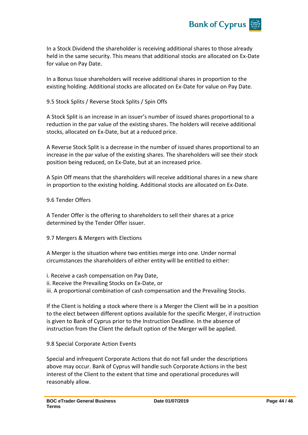

In a Stock Dividend the shareholder is receiving additional shares to those already held in the same security. This means that additional stocks are allocated on Ex-Date for value on Pay Date.

In a Bonus Issue shareholders will receive additional shares in proportion to the existing holding. Additional stocks are allocated on Ex-Date for value on Pay Date.

9.5 Stock Splits / Reverse Stock Splits / Spin Offs

A Stock Split is an increase in an issuer's number of issued shares proportional to a reduction in the par value of the existing shares. The holders will receive additional stocks, allocated on Ex-Date, but at a reduced price.

A Reverse Stock Split is a decrease in the number of issued shares proportional to an increase in the par value of the existing shares. The shareholders will see their stock position being reduced, on Ex-Date, but at an increased price.

A Spin Off means that the shareholders will receive additional shares in a new share in proportion to the existing holding. Additional stocks are allocated on Ex-Date.

9.6 Tender Offers

A Tender Offer is the offering to shareholders to sell their shares at a price determined by the Tender Offer issuer.

9.7 Mergers & Mergers with Elections

A Merger is the situation where two entities merge into one. Under normal circumstances the shareholders of either entity will be entitled to either:

i. Receive a cash compensation on Pay Date, ii. Receive the Prevailing Stocks on Ex-Date, or iii. A proportional combination of cash compensation and the Prevailing Stocks.

If the Client is holding a stock where there is a Merger the Client will be in a position to the elect between different options available for the specific Merger, if instruction is given to Bank of Cyprus prior to the Instruction Deadline. In the absence of instruction from the Client the default option of the Merger will be applied.

9.8 Special Corporate Action Events

Special and infrequent Corporate Actions that do not fall under the descriptions above may occur. Bank of Cyprus will handle such Corporate Actions in the best interest of the Client to the extent that time and operational procedures will reasonably allow.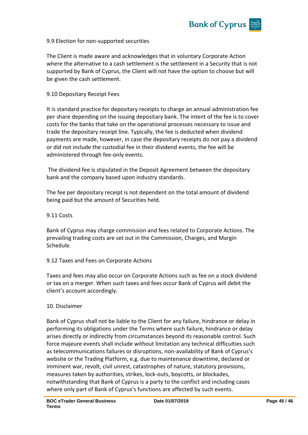

#### 9.9 Election for non-supported securities

The Client is made aware and acknowledges that in voluntary Corporate Action where the alternative to a cash settlement is the settlement in a Security that is not supported by Bank of Cyprus, the Client will not have the option to choose but will be given the cash settlement.

#### 9.10 Depositary Receipt Fees

It is standard practice for depositary receipts to charge an annual administration fee per share depending on the issuing depositary bank. The intent of the fee is to cover costs for the banks that take on the operational processes necessary to issue and trade the depositary receipt line. Typically, the fee is deducted when dividend payments are made, however, in case the depositary receipts do not pay a dividend or did not include the custodial fee in their dividend events, the fee will be administered through fee-only events.

The dividend fee is stipulated in the Deposit Agreement between the depositary bank and the company based upon industry standards.

The fee per depositary receipt is not dependent on the total amount of dividend being paid but the amount of Securities held.

#### 9.11 Costs

Bank of Cyprus may charge commission and fees related to Corporate Actions. The prevailing trading costs are set out in the Commission, Charges, and Margin Schedule.

#### 9.12 Taxes and Fees on Corporate Actions

Taxes and fees may also occur on Corporate Actions such as fee on a stock dividend or tax on a merger. When such taxes and fees occur Bank of Cyprus will debit the client's account accordingly.

#### 10. Disclaimer

Bank of Cyprus shall not be liable to the Client for any failure, hindrance or delay in performing its obligations under the Terms where such failure, hindrance or delay arises directly or indirectly from circumstances beyond its reasonable control. Such force majeure events shall include without limitation any technical difficulties such as telecommunications failures or disruptions, non-availability of Bank of Cyprus's website or the Trading Platform, e.g. due to maintenance downtime, declared or imminent war, revolt, civil unrest, catastrophes of nature, statutory provisions, measures taken by authorities, strikes, lock-outs, boycotts, or blockades, notwithstanding that Bank of Cyprus is a party to the conflict and including cases where only part of Bank of Cyprus's functions are affected by such events.